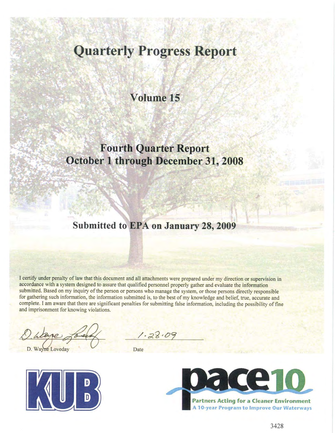# **Quarterly Progress Report**

## Volume 15

# **Fourth Quarter Report** October 1 through December 31, 2008

## Submitted to EPA on January 28, 2009

I certify under penalty of law that this document and all attachments were prepared under my direction or supervision in accordance with a system designed to assure that qualified personnel properly gather and evaluate the information submitted. Based on my inquiry of the person or persons who manage the system, or those persons directly responsible for gathering such information, the information submitted is, to the best of my knowledge and belief, true, accurate and complete. I am aware that there are significant penalties for submitting false information, including the possibility of fine and imprisonment for knowing violations.

 $1.28.09$ 

D. Wayne Loveday

Date



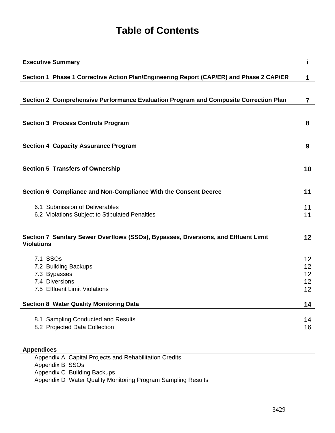# **Table of Contents**

| <b>Executive Summary</b>                                                                                 | i        |
|----------------------------------------------------------------------------------------------------------|----------|
| Section 1 Phase 1 Corrective Action Plan/Engineering Report (CAP/ER) and Phase 2 CAP/ER                  | 1        |
|                                                                                                          |          |
| Section 2 Comprehensive Performance Evaluation Program and Composite Correction Plan                     | 7        |
|                                                                                                          |          |
| <b>Section 3 Process Controls Program</b>                                                                | 8        |
|                                                                                                          |          |
| <b>Section 4 Capacity Assurance Program</b>                                                              | 9        |
|                                                                                                          |          |
| <b>Section 5 Transfers of Ownership</b>                                                                  | 10       |
|                                                                                                          |          |
| Section 6 Compliance and Non-Compliance With the Consent Decree                                          | 11       |
| 6.1 Submission of Deliverables                                                                           | 11       |
| 6.2 Violations Subject to Stipulated Penalties                                                           | 11       |
|                                                                                                          |          |
| Section 7 Sanitary Sewer Overflows (SSOs), Bypasses, Diversions, and Effluent Limit<br><b>Violations</b> | 12       |
| 7.1 SSOs                                                                                                 |          |
| 7.2 Building Backups                                                                                     | 12<br>12 |
| 7.3 Bypasses                                                                                             | 12       |
| 7.4 Diversions                                                                                           | 12       |
| 7.5 Effluent Limit Violations                                                                            | 12       |
| <b>Section 8 Water Quality Monitoring Data</b>                                                           | 14       |
| 8.1 Sampling Conducted and Results                                                                       | 14       |
| 8.2 Projected Data Collection                                                                            | 16       |
|                                                                                                          |          |
| <b>Appendices</b>                                                                                        |          |

Appendix A Capital Projects and Rehabilitation Credits Appendix B SSOs Appendix C Building Backups Appendix D Water Quality Monitoring Program Sampling Results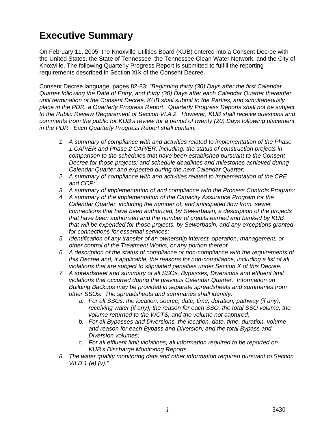# **Executive Summary**

On February 11, 2005, the Knoxville Utilities Board (KUB) entered into a Consent Decree with the United States, the State of Tennessee, the Tennessee Clean Water Network, and the City of Knoxville. The following Quarterly Progress Report is submitted to fulfill the reporting requirements described in Section XIX of the Consent Decree.

Consent Decree language, pages 82-83: *"Beginning thirty (30) Days after the first Calendar Quarter following the Date of Entry, and thirty (30) Days after each Calendar Quarter thereafter until termination of the Consent Decree, KUB shall submit to the Parties, and simultaneously place in the PDR, a Quarterly Progress Report. Quarterly Progress Reports shall not be subject to the Public Review Requirement of Section VI.A.2. However, KUB shall receive questions and comments from the public for KUB's review for a period of twenty (20) Days following placement in the PDR. Each Quarterly Progress Report shall contain:* 

- *1. A summary of compliance with and activities related to implementation of the Phase 1 CAP/ER and Phase 2 CAP/ER, including: the status of construction projects in comparison to the schedules that have been established pursuant to the Consent Decree for those projects; and schedule deadlines and milestones achieved during Calendar Quarter and expected during the next Calendar Quarter;*
- *2. A summary of compliance with and activities related to implementation of the CPE and CCP;*
- *3. A summary of implementation of and compliance with the Process Controls Program;*
- *4. A summary of the implementation of the Capacity Assurance Program for the Calendar Quarter, including the number of, and anticipated flow from, sewer connections that have been authorized, by Sewerbasin, a description of the projects that have been authorized and the number of credits earned and banked by KUB that will be expended for those projects, by Sewerbasin, and any exceptions granted for connections for essential services;*
- *5. Identification of any transfer of an ownership interest, operation, management, or other control of the Treatment Works, or any portion thereof.*
- *6. A description of the status of compliance or non-compliance with the requirements of this Decree and, if applicable, the reasons for non-compliance, including a list of all violations that are subject to stipulated penalties under Section X of this Decree.*
- *7. A spreadsheet and summary of all SSOs, Bypasses, Diversions and effluent limit violations that occurred during the previous Calendar Quarter. Information on Building Backups may be provided in separate spreadsheets and summaries from other SSOs. The spreadsheets and summaries shall identify:* 
	- *a. For all SSOs, the location, source, date, time, duration, pathway (if any), receiving water (if any), the reason for each SSO, the total SSO volume, the volume returned to the WCTS, and the volume not captured;*
	- *b. For all Bypasses and Diversions, the location, date, time, duration, volume and reason for each Bypass and Diversion; and the total Bypass and Diversion volumes;*
	- *c. For all effluent limit violations, all information required to be reported on KUB's Discharge Monitoring Reports.*
- *8. The water quality monitoring data and other information required pursuant to Section VII.D.1.(e).(v)."*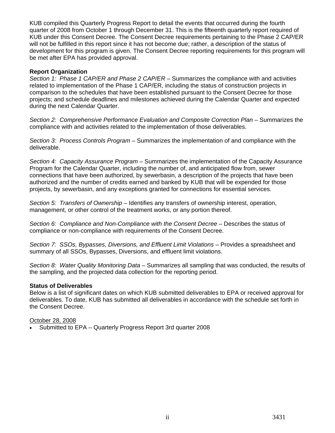KUB compiled this Quarterly Progress Report to detail the events that occurred during the fourth quarter of 2008 from October 1 through December 31. This is the fifteenth quarterly report required of KUB under this Consent Decree. The Consent Decree requirements pertaining to the Phase 2 CAP/ER will not be fulfilled in this report since it has not become due; rather, a description of the status of development for this program is given. The Consent Decree reporting requirements for this program will be met after EPA has provided approval.

#### **Report Organization**

*Section 1: Phase 1 CAP/ER and Phase 2 CAP/ER* – Summarizes the compliance with and activities related to implementation of the Phase 1 CAP/ER, including the status of construction projects in comparison to the schedules that have been established pursuant to the Consent Decree for those projects; and schedule deadlines and milestones achieved during the Calendar Quarter and expected during the next Calendar Quarter.

*Section 2: Comprehensive Performance Evaluation and Composite Correction Plan* – Summarizes the compliance with and activities related to the implementation of those deliverables.

*Section 3: Process Controls Program* – Summarizes the implementation of and compliance with the deliverable.

*Section 4: Capacity Assurance Program* – Summarizes the implementation of the Capacity Assurance Program for the Calendar Quarter, including the number of, and anticipated flow from, sewer connections that have been authorized, by sewerbasin, a description of the projects that have been authorized and the number of credits earned and banked by KUB that will be expended for those projects, by sewerbasin, and any exceptions granted for connections for essential services.

*Section 5: Transfers of Ownership* – Identifies any transfers of ownership interest, operation, management, or other control of the treatment works, or any portion thereof.

*Section 6: Compliance and Non-Compliance with the Consent Decree* – Describes the status of compliance or non-compliance with requirements of the Consent Decree.

*Section 7: SSOs, Bypasses, Diversions, and Effluent Limit Violations* – Provides a spreadsheet and summary of all SSOs, Bypasses, Diversions, and effluent limit violations.

*Section 8: Water Quality Monitoring Data* – Summarizes all sampling that was conducted, the results of the sampling, and the projected data collection for the reporting period.

#### **Status of Deliverables**

Below is a list of significant dates on which KUB submitted deliverables to EPA or received approval for deliverables. To date, KUB has submitted all deliverables in accordance with the schedule set forth in the Consent Decree.

#### October 28, 2008

Submitted to EPA – Quarterly Progress Report 3rd quarter 2008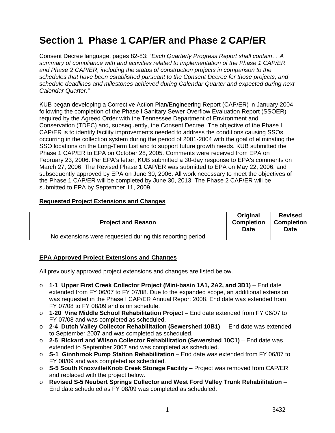# **Section 1 Phase 1 CAP/ER and Phase 2 CAP/ER**

Consent Decree language, pages 82-83: *"Each Quarterly Progress Report shall contain… A summary of compliance with and activities related to implementation of the Phase 1 CAP/ER and Phase 2 CAP/ER, including the status of construction projects in comparison to the schedules that have been established pursuant to the Consent Decree for those projects; and schedule deadlines and milestones achieved during Calendar Quarter and expected during next Calendar Quarter."*

KUB began developing a Corrective Action Plan/Engineering Report (CAP/ER) in January 2004, following the completion of the Phase I Sanitary Sewer Overflow Evaluation Report (SSOER) required by the Agreed Order with the Tennessee Department of Environment and Conservation (TDEC) and, subsequently, the Consent Decree. The objective of the Phase I CAP/ER is to identify facility improvements needed to address the conditions causing SSOs occurring in the collection system during the period of 2001-2004 with the goal of eliminating the SSO locations on the Long-Term List and to support future growth needs. KUB submitted the Phase 1 CAP/ER to EPA on October 28, 2005. Comments were received from EPA on February 23, 2006. Per EPA's letter, KUB submitted a 30-day response to EPA's comments on March 27, 2006. The Revised Phase 1 CAP/ER was submitted to EPA on May 22, 2006, and subsequently approved by EPA on June 30, 2006. All work necessary to meet the objectives of the Phase 1 CAP/ER will be completed by June 30, 2013. The Phase 2 CAP/ER will be submitted to EPA by September 11, 2009.

#### **Requested Project Extensions and Changes**

| <b>Project and Reason</b>                                 | <b>Original</b><br><b>Completion</b><br><b>Date</b> | <b>Revised</b><br><b>Completion</b><br>Date |
|-----------------------------------------------------------|-----------------------------------------------------|---------------------------------------------|
| No extensions were requested during this reporting period |                                                     |                                             |

#### **EPA Approved Project Extensions and Changes**

All previously approved project extensions and changes are listed below.

- o **1-1 Upper First Creek Collector Project (Mini-basin 1A1, 2A2, and 3D1)** End date extended from FY 06/07 to FY 07/08. Due to the expanded scope, an additional extension was requested in the Phase I CAP/ER Annual Report 2008. End date was extended from FY 07/08 to FY 08/09 and is on schedule.
- o **1-20 Vine Middle School Rehabilitation Project** End date extended from FY 06/07 to FY 07/08 and was completed as scheduled.
- o **2-4 Dutch Valley Collector Rehabilitation (Sewershed 10B1)** End date was extended to September 2007 and was completed as scheduled.
- o **2-5 Rickard and Wilson Collector Rehabilitation (Sewershed 10C1)** End date was extended to September 2007 and was completed as scheduled.
- o **S-1 Ginnbrook Pump Station Rehabilitation** End date was extended from FY 06/07 to FY 08/09 and was completed as scheduled.
- o **S-5 South Knoxville/Knob Creek Storage Facility** Project was removed from CAP/ER and replaced with the project below.
- o **Revised S-5 Neubert Springs Collector and West Ford Valley Trunk Rehabilitation** End date scheduled as FY 08/09 was completed as scheduled.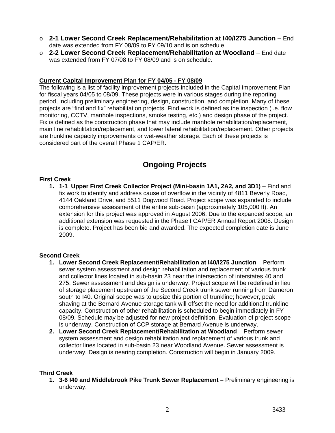- o **2-1 Lower Second Creek Replacement/Rehabilitation at I40/I275 Junction** End date was extended from FY 08/09 to FY 09/10 and is on schedule.
- o **2-2 Lower Second Creek Replacement/Rehabilitation at Woodland** End date was extended from FY 07/08 to FY 08/09 and is on schedule.

#### **Current Capital Improvement Plan for FY 04/05 - FY 08/09**

The following is a list of facility improvement projects included in the Capital Improvement Plan for fiscal years 04/05 to 08/09. These projects were in various stages during the reporting period, including preliminary engineering, design, construction, and completion. Many of these projects are "find and fix" rehabilitation projects. Find work is defined as the inspection (i.e. flow monitoring, CCTV, manhole inspections, smoke testing, etc.) and design phase of the project. Fix is defined as the construction phase that may include manhole rehabilitation/replacement, main line rehabilitation/replacement, and lower lateral rehabilitation/replacement. Other projects are trunkline capacity improvements or wet-weather storage. Each of these projects is considered part of the overall Phase 1 CAP/ER.

## **Ongoing Projects**

#### **First Creek**

**1. 1-1 Upper First Creek Collector Project (Mini-basin 1A1, 2A2, and 3D1)** – Find and fix work to identify and address cause of overflow in the vicinity of 4811 Beverly Road, 4144 Oakland Drive, and 5511 Dogwood Road. Project scope was expanded to include comprehensive assessment of the entire sub-basin (approximately 105,000 ft). An extension for this project was approved in August 2006. Due to the expanded scope, an additional extension was requested in the Phase I CAP/ER Annual Report 2008. Design is complete. Project has been bid and awarded. The expected completion date is June 2009.

#### **Second Creek**

- **1. Lower Second Creek Replacement/Rehabilitation at I40/I275 Junction** Perform sewer system assessment and design rehabilitation and replacement of various trunk and collector lines located in sub-basin 23 near the intersection of interstates 40 and 275. Sewer assessment and design is underway. Project scope will be redefined in lieu of storage placement upstream of the Second Creek trunk sewer running from Dameron south to I40. Original scope was to upsize this portion of trunkline; however, peak shaving at the Bernard Avenue storage tank will offset the need for additional trunkline capacity. Construction of other rehabilitation is scheduled to begin immediately in FY 08/09. Schedule may be adjusted for new project definition. Evaluation of project scope is underway. Construction of CCP storage at Bernard Avenue is underway.
- **2. Lower Second Creek Replacement/Rehabilitation at Woodland** Perform sewer system assessment and design rehabilitation and replacement of various trunk and collector lines located in sub-basin 23 near Woodland Avenue. Sewer assessment is underway. Design is nearing completion. Construction will begin in January 2009.

#### **Third Creek**

**1. 3-6 I40 and Middlebrook Pike Trunk Sewer Replacement –** Preliminary engineering is underway.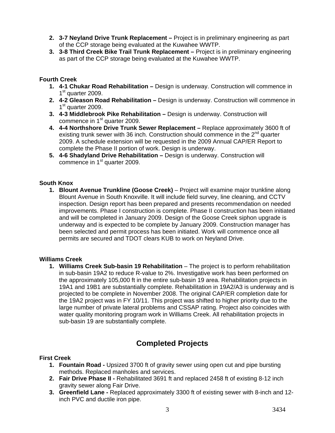- **2. 3-7 Neyland Drive Trunk Replacement** Project is in preliminary engineering as part of the CCP storage being evaluated at the Kuwahee WWTP.
- **3. 3-8 Third Creek Bike Trail Trunk Replacement** Project is in preliminary engineering as part of the CCP storage being evaluated at the Kuwahee WWTP.

#### **Fourth Creek**

- **1. 4-1 Chukar Road Rehabilitation** Design is underway. Construction will commence in 1<sup>st</sup> quarter 2009.
- **2. 4-2 Gleason Road Rehabilitation** Design is underway. Construction will commence in 1<sup>st</sup> quarter 2009.
- **3. 4-3 Middlebrook Pike Rehabilitation** Design is underway. Construction will commence in 1<sup>st</sup> quarter 2009.
- **4. 4-4 Northshore Drive Trunk Sewer Replacement** Replace approximately 3600 ft of existing trunk sewer with 36 inch. Construction should commence in the  $2^{nd}$  quarter 2009. A schedule extension will be requested in the 2009 Annual CAP/ER Report to complete the Phase II portion of work. Design is underway.
- **5. 4-6 Shadyland Drive Rehabilitation** Design is underway. Construction will commence in 1<sup>st</sup> quarter 2009.

#### **South Knox**

**1. Blount Avenue Trunkline (Goose Creek)** – Project will examine major trunkline along Blount Avenue in South Knoxville. It will include field survey, line cleaning, and CCTV inspection. Design report has been prepared and presents recommendation on needed improvements. Phase I construction is complete. Phase II construction has been initiated and will be completed in January 2009. Design of the Goose Creek siphon upgrade is underway and is expected to be complete by January 2009. Construction manager has been selected and permit process has been initiated. Work will commence once all permits are secured and TDOT clears KUB to work on Neyland Drive.

#### **Williams Creek**

**1. Williams Creek Sub-basin 19 Rehabilitation** – The project is to perform rehabilitation in sub-basin 19A2 to reduce R-value to 2%. Investigative work has been performed on the approximately 105,000 ft in the entire sub-basin 19 area. Rehabilitation projects in 19A1 and 19B1 are substantially complete. Rehabilitation in 19A2/A3 is underway and is projected to be complete in November 2008. The original CAP/ER completion date for the 19A2 project was in FY 10/11. This project was shifted to higher priority due to the large number of private lateral problems and CSSAP rating. Project also coincides with water quality monitoring program work in Williams Creek. All rehabilitation projects in sub-basin 19 are substantially complete.

## **Completed Projects**

#### **First Creek**

- **1. Fountain Road** Upsized 3700 ft of gravity sewer using open cut and pipe bursting methods. Replaced manholes and services.
- **2. Fair Drive Phase II** Rehabilitated 3691 ft and replaced 2458 ft of existing 8-12 inch gravity sewer along Fair Drive.
- **3. Greenfield Lane** Replaced approximately 3300 ft of existing sewer with 8-inch and 12 inch PVC and ductile iron pipe.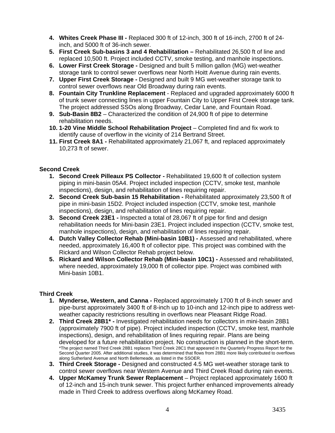- **4. Whites Creek Phase III** Replaced 300 ft of 12-inch, 300 ft of 16-inch, 2700 ft of 24 inch, and 5000 ft of 36-inch sewer.
- **5. First Creek Sub-basins 3 and 4 Rehabilitation** Rehabilitated 26,500 ft of line and replaced 10,500 ft. Project included CCTV, smoke testing, and manhole inspections.
- **6. Lower First Creek Storage** Designed and built 5 million gallon (MG) wet-weather storage tank to control sewer overflows near North Hoitt Avenue during rain events.
- **7. Upper First Creek Storage** Designed and built 9 MG wet-weather storage tank to control sewer overflows near Old Broadway during rain events.
- **8. Fountain City Trunkline Replacement**  Replaced and upgraded approximately 6000 ft of trunk sewer connecting lines in upper Fountain City to Upper First Creek storage tank. The project addressed SSOs along Broadway, Cedar Lane, and Fountain Road.
- **9. Sub-Basin 8B2** Characterized the condition of 24,900 ft of pipe to determine rehabilitation needs.
- **10. 1-20 Vine Middle School Rehabilitation Project** Completed find and fix work to identify cause of overflow in the vicinity of 214 Bertrand Street.
- **11. First Creek 8A1 -** Rehabilitated approximately 21,067 ft, and replaced approximately 10,273 ft of sewer.

#### **Second Creek**

- **1. Second Creek Pilleaux PS Collector** Rehabilitated 19,600 ft of collection system piping in mini-basin 05A4. Project included inspection (CCTV, smoke test, manhole inspections), design, and rehabilitation of lines requiring repair.
- **2. Second Creek Sub-basin 15 Rehabilitation** Rehabilitated approximately 23,500 ft of pipe in mini-basin 15D2. Project included inspection (CCTV, smoke test, manhole inspections), design, and rehabilitation of lines requiring repair.
- **3. Second Creek 23E1 -** Inspected a total of 28,067 ft of pipe for find and design rehabilitation needs for Mini-basin 23E1. Project included inspection (CCTV, smoke test, manhole inspections), design, and rehabilitation of lines requiring repair.
- **4. Dutch Valley Collector Rehab (Mini-basin 10B1)** Assessed and rehabilitated, where needed, approximately 16,400 ft of collector pipe. This project was combined with the Rickard and Wilson Collector Rehab project below.
- **5. Rickard and Wilson Collector Rehab (Mini-basin 10C1)** Assessed and rehabilitated, where needed, approximately 19,000 ft of collector pipe. Project was combined with Mini-basin 10B1.

#### **Third Creek**

- **1. Mynderse, Western, and Canna** Replaced approximately 1700 ft of 8-inch sewer and pipe-burst approximately 3400 ft of 8-inch up to 10-inch and 12-inch pipe to address wetweather capacity restrictions resulting in overflows near Pleasant Ridge Road.
- **2. Third Creek 28B1\*** Investigated rehabilitation needs for collectors in mini-basin 28B1 (approximately 7900 ft of pipe). Project included inspection (CCTV, smoke test, manhole inspections), design, and rehabilitation of lines requiring repair. Plans are being developed for a future rehabilitation project. No construction is planned in the short-term. \*The project named Third Creek 28B1 replaces Third Creek 28C1 that appeared in the Quarterly Progress Report for the Second Quarter 2005. After additional studies, it was determined that flows from 28B1 more likely contributed to overflows along Sutherland Avenue and North Bellemeade, as listed in the SSOER.
- **3. Third Creek Storage** Designed and constructed 4.5 MG wet-weather storage tank to control sewer overflows near Western Avenue and Third Creek Road during rain events.
- **4. Upper McKamey Trunk Sewer Replacement**  Project replaced approximately 1600 ft of 12-inch and 15-inch trunk sewer. This project further enhanced improvements already made in Third Creek to address overflows along McKamey Road.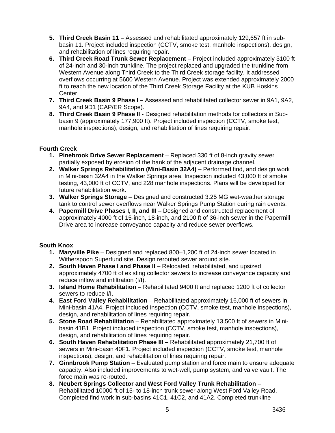- **5. Third Creek Basin 11** Assessed and rehabilitated approximately 129,657 ft in subbasin 11. Project included inspection (CCTV, smoke test, manhole inspections), design, and rehabilitation of lines requiring repair.
- **6. Third Creek Road Trunk Sewer Replacement**  Project included approximately 3100 ft of 24-inch and 30-inch trunkline. The project replaced and upgraded the trunkline from Western Avenue along Third Creek to the Third Creek storage facility. It addressed overflows occurring at 5600 Western Avenue. Project was extended approximately 2000 ft to reach the new location of the Third Creek Storage Facility at the KUB Hoskins Center.
- **7. Third Creek Basin 9 Phase I** Assessed and rehabilitated collector sewer in 9A1, 9A2, 9A4, and 9D1 (CAP/ER Scope).
- **8. Third Creek Basin 9 Phase II** Designed rehabilitation methods for collectors in Subbasin 9 (approximately 177,900 ft). Project included inspection (CCTV, smoke test, manhole inspections), design, and rehabilitation of lines requiring repair.

#### **Fourth Creek**

- **1. Pinebrook Drive Sewer Replacement** Replaced 330 ft of 8-inch gravity sewer partially exposed by erosion of the bank of the adjacent drainage channel.
- **2. Walker Springs Rehabilitation (Mini-Basin 32A4)** Performed find, and design work in Mini-basin 32A4 in the Walker Springs area. Inspection included 43,000 ft of smoke testing, 43,000 ft of CCTV, and 228 manhole inspections. Plans will be developed for future rehabilitation work.
- **3. Walker Springs Storage** Designed and constructed 3.25 MG wet-weather storage tank to control sewer overflows near Walker Springs Pump Station during rain events.
- **4. Papermill Drive Phases I, II, and III** Designed and constructed replacement of approximately 4000 ft of 15-inch, 18-inch, and 2100 ft of 36-inch sewer in the Papermill Drive area to increase conveyance capacity and reduce sewer overflows.

### **South Knox**

- **1. Maryville Pike** Designed and replaced 800–1,200 ft of 24-inch sewer located in Witherspoon Superfund site. Design rerouted sewer around site.
- **2. South Haven Phase I and Phase II** Relocated, rehabilitated, and upsized approximately 4700 ft of existing collector sewers to increase conveyance capacity and reduce inflow and infiltration (I/I).
- **3. Island Home Rehabilitation** Rehabilitated 9400 ft and replaced 1200 ft of collector sewers to reduce I/I.
- **4. East Ford Valley Rehabilitation** Rehabilitated approximately 16,000 ft of sewers in Mini-basin 41A4. Project included inspection (CCTV, smoke test, manhole inspections), design, and rehabilitation of lines requiring repair.
- **5. Stone Road Rehabilitation** Rehabilitated approximately 13,500 ft of sewers in Minibasin 41B1. Project included inspection (CCTV, smoke test, manhole inspections), design, and rehabilitation of lines requiring repair.
- **6. South Haven Rehabilitation Phase III** Rehabilitated approximately 21,700 ft of sewers in Mini-basin 40F1. Project included inspection (CCTV, smoke test, manhole inspections), design, and rehabilitation of lines requiring repair.
- **7. Ginnbrook Pump Station** Evaluated pump station and force main to ensure adequate capacity. Also included improvements to wet-well, pump system, and valve vault. The force main was re-routed.
- **8. Neubert Springs Collector and West Ford Valley Trunk Rehabilitation** Rehabilitated 10000 ft of 15- to 18-inch trunk sewer along West Ford Valley Road. Completed find work in sub-basins 41C1, 41C2, and 41A2. Completed trunkline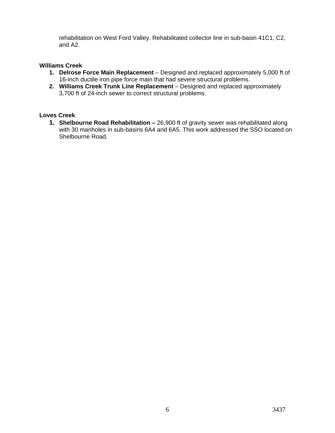rehabilitation on West Ford Valley. Rehabilitated collector line in sub-basin 41C1, C2, and A2.

#### **Williams Creek**

- **1. Delrose Force Main Replacement** Designed and replaced approximately 5,000 ft of 16-inch ductile iron pipe force main that had severe structural problems.
- **2. Williams Creek Trunk Line Replacement** Designed and replaced approximately 3,700 ft of 24-inch sewer to correct structural problems.

#### **Loves Creek**

**1. Shelbourne Road Rehabilitation –** 26,900 ft of gravity sewer was rehabilitated along with 30 manholes in sub-basins 6A4 and 6A5. This work addressed the SSO located on Shelbourne Road.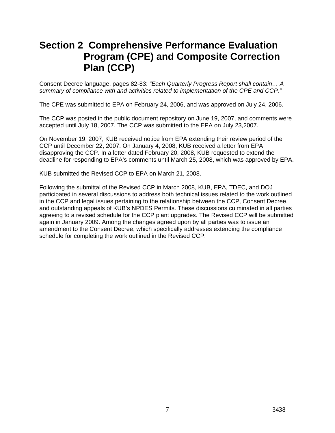# **Section 2 Comprehensive Performance Evaluation Program (CPE) and Composite Correction Plan (CCP)**

Consent Decree language, pages 82-83: *"Each Quarterly Progress Report shall contain… A summary of compliance with and activities related to implementation of the CPE and CCP."*

The CPE was submitted to EPA on February 24, 2006, and was approved on July 24, 2006.

The CCP was posted in the public document repository on June 19, 2007, and comments were accepted until July 18, 2007. The CCP was submitted to the EPA on July 23,2007.

On November 19, 2007, KUB received notice from EPA extending their review period of the CCP until December 22, 2007. On January 4, 2008, KUB received a letter from EPA disapproving the CCP. In a letter dated February 20, 2008, KUB requested to extend the deadline for responding to EPA's comments until March 25, 2008, which was approved by EPA.

KUB submitted the Revised CCP to EPA on March 21, 2008.

Following the submittal of the Revised CCP in March 2008, KUB, EPA, TDEC, and DOJ participated in several discussions to address both technical issues related to the work outlined in the CCP and legal issues pertaining to the relationship between the CCP, Consent Decree, and outstanding appeals of KUB's NPDES Permits. These discussions culminated in all parties agreeing to a revised schedule for the CCP plant upgrades. The Revised CCP will be submitted again in January 2009. Among the changes agreed upon by all parties was to issue an amendment to the Consent Decree, which specifically addresses extending the compliance schedule for completing the work outlined in the Revised CCP.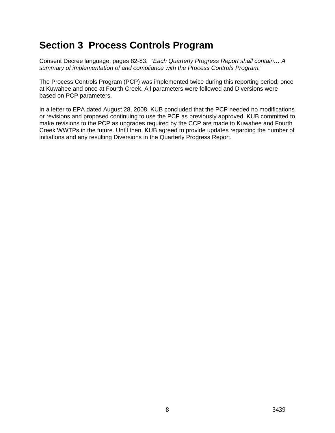# **Section 3 Process Controls Program**

Consent Decree language, pages 82-83: *"Each Quarterly Progress Report shall contain… A summary of implementation of and compliance with the Process Controls Program."*

The Process Controls Program (PCP) was implemented twice during this reporting period; once at Kuwahee and once at Fourth Creek. All parameters were followed and Diversions were based on PCP parameters.

In a letter to EPA dated August 28, 2008, KUB concluded that the PCP needed no modifications or revisions and proposed continuing to use the PCP as previously approved. KUB committed to make revisions to the PCP as upgrades required by the CCP are made to Kuwahee and Fourth Creek WWTPs in the future. Until then, KUB agreed to provide updates regarding the number of initiations and any resulting Diversions in the Quarterly Progress Report.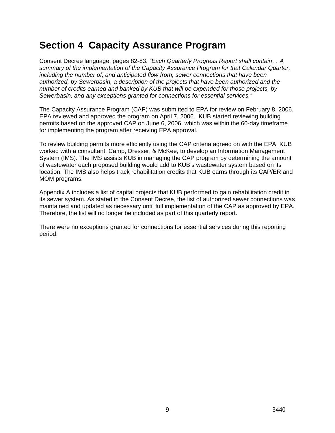# **Section 4 Capacity Assurance Program**

Consent Decree language, pages 82-83: *"Each Quarterly Progress Report shall contain… A summary of the implementation of the Capacity Assurance Program for that Calendar Quarter, including the number of, and anticipated flow from, sewer connections that have been authorized, by Sewerbasin, a description of the projects that have been authorized and the number of credits earned and banked by KUB that will be expended for those projects, by Sewerbasin, and any exceptions granted for connections for essential services."*

The Capacity Assurance Program (CAP) was submitted to EPA for review on February 8, 2006. EPA reviewed and approved the program on April 7, 2006. KUB started reviewing building permits based on the approved CAP on June 6, 2006, which was within the 60-day timeframe for implementing the program after receiving EPA approval.

To review building permits more efficiently using the CAP criteria agreed on with the EPA, KUB worked with a consultant, Camp, Dresser, & McKee, to develop an Information Management System (IMS). The IMS assists KUB in managing the CAP program by determining the amount of wastewater each proposed building would add to KUB's wastewater system based on its location. The IMS also helps track rehabilitation credits that KUB earns through its CAP/ER and MOM programs.

Appendix A includes a list of capital projects that KUB performed to gain rehabilitation credit in its sewer system. As stated in the Consent Decree, the list of authorized sewer connections was maintained and updated as necessary until full implementation of the CAP as approved by EPA. Therefore, the list will no longer be included as part of this quarterly report.

There were no exceptions granted for connections for essential services during this reporting period.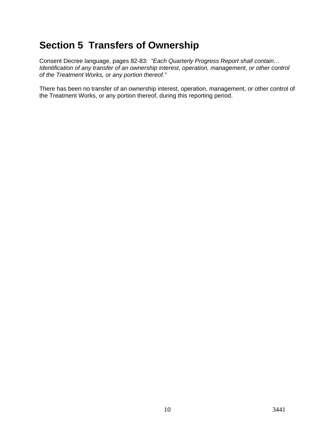# **Section 5 Transfers of Ownership**

Consent Decree language, pages 82-83: *"Each Quarterly Progress Report shall contain… Identification of any transfer of an ownership interest, operation, management, or other control of the Treatment Works, or any portion thereof."* 

There has been no transfer of an ownership interest, operation, management, or other control of the Treatment Works, or any portion thereof, during this reporting period.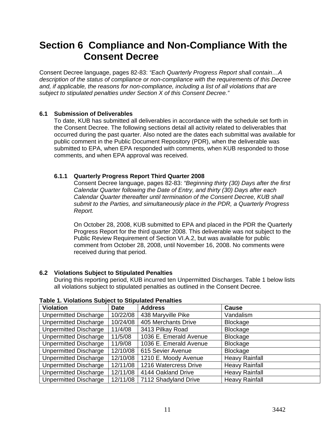## **Section 6 Compliance and Non-Compliance With the Consent Decree**

Consent Decree language, pages 82-83: *"Each Quarterly Progress Report shall contain…A description of the status of compliance or non-compliance with the requirements of this Decree and, if applicable, the reasons for non-compliance, including a list of all violations that are subject to stipulated penalties under Section X of this Consent Decree."*

#### **6.1 Submission of Deliverables**

To date, KUB has submitted all deliverables in accordance with the schedule set forth in the Consent Decree. The following sections detail all activity related to deliverables that occurred during the past quarter. Also noted are the dates each submittal was available for public comment in the Public Document Repository (PDR), when the deliverable was submitted to EPA, when EPA responded with comments, when KUB responded to those comments, and when EPA approval was received.

#### **6.1.1 Quarterly Progress Report Third Quarter 2008**

Consent Decree language, pages 82-83: *"Beginning thirty (30) Days after the first Calendar Quarter following the Date of Entry, and thirty (30) Days after each Calendar Quarter thereafter until termination of the Consent Decree, KUB shall submit to the Parties, and simultaneously place in the PDR, a Quarterly Progress Report.*

On October 28, 2008, KUB submitted to EPA and placed in the PDR the Quarterly Progress Report for the third quarter 2008. This deliverable was not subject to the Public Review Requirement of Section VI.A.2, but was available for public comment from October 28, 2008, until November 16, 2008. No comments were received during that period.

#### **6.2 Violations Subject to Stipulated Penalties**

During this reporting period, KUB incurred ten Unpermitted Discharges. Table 1 below lists all violations subject to stipulated penalties as outlined in the Consent Decree.

| <b>Violation</b>             | <b>Date</b> | <b>Address</b>         | Cause                 |
|------------------------------|-------------|------------------------|-----------------------|
| Unpermitted Discharge        | 10/22/08    | 438 Maryville Pike     | Vandalism             |
| <b>Unpermitted Discharge</b> | 10/24/08    | 405 Merchants Drive    | <b>Blockage</b>       |
| <b>Unpermitted Discharge</b> | 11/4/08     | 3413 Pilkay Road       | Blockage              |
| <b>Unpermitted Discharge</b> | 11/5/08     | 1036 E. Emerald Avenue | <b>Blockage</b>       |
| Unpermitted Discharge        | 11/9/08     | 1036 E. Emerald Avenue | <b>Blockage</b>       |
| <b>Unpermitted Discharge</b> | 12/10/08    | 615 Sevier Avenue      | <b>Blockage</b>       |
| <b>Unpermitted Discharge</b> | 12/10/08    | 1210 E. Moody Avenue   | <b>Heavy Rainfall</b> |
| <b>Unpermitted Discharge</b> | 12/11/08    | 1216 Watercress Drive  | <b>Heavy Rainfall</b> |
| <b>Unpermitted Discharge</b> | 12/11/08    | 4144 Oakland Drive     | <b>Heavy Rainfall</b> |
| Unpermitted Discharge        | 12/11/08    | 7112 Shadyland Drive   | <b>Heavy Rainfall</b> |

**Table 1. Violations Subject to Stipulated Penalties**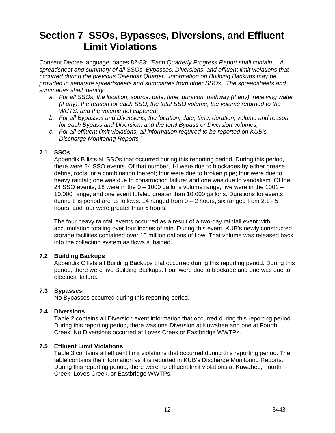# **Section 7 SSOs, Bypasses, Diversions, and Effluent Limit Violations**

Consent Decree language, pages 82-83: *"Each Quarterly Progress Report shall contain… A spreadsheet and summary of all SSOs, Bypasses, Diversions, and effluent limit violations that occurred during the previous Calendar Quarter. Information on Building Backups may be provided in separate spreadsheets and summaries from other SSOs. The spreadsheets and summaries shall identify:* 

- *a. For all SSOs, the location, source, date, time, duration, pathway (if any), receiving water (if any), the reason for each SSO, the total SSO volume, the volume returned to the WCTS, and the volume not captured;*
- *b. For all Bypasses and Diversions, the location, date, time, duration, volume and reason for each Bypass and Diversion; and the total Bypass or Diversion volumes;*
- *c. For all effluent limit violations, all information required to be reported on KUB's Discharge Monitoring Reports."*

#### **7.1 SSOs**

Appendix B lists all SSOs that occurred during this reporting period. During this period, there were 24 SSO events. Of that number, 14 were due to blockages by either grease, debris, roots, or a combination thereof; four were due to broken pipe; four were due to heavy rainfall; one was due to construction failure; and one was due to vandalism. Of the 24 SSO events, 18 were in the  $0 - 1000$  gallons volume range, five were in the 1001 – 10,000 range, and one event totaled greater than 10,000 gallons. Durations for events during this period are as follows: 14 ranged from  $0 - 2$  hours, six ranged from  $2.1 - 5$ hours, and four were greater than 5 hours.

The four heavy rainfall events occurred as a result of a two-day rainfall event with accumulation totaling over four inches of rain. During this event, KUB's newly constructed storage facilities contained over 15 million gallons of flow. That volume was released back into the collection system as flows subsided.

#### **7.2 Building Backups**

Appendix C lists all Building Backups that occurred during this reporting period. During this period, there were five Building Backups. Four were due to blockage and one was due to electrical failure.

#### **7.3 Bypasses**

No Bypasses occurred during this reporting period.

#### **7.4 Diversions**

Table 2 contains all Diversion event information that occurred during this reporting period. During this reporting period, there was one Diversion at Kuwahee and one at Fourth Creek. No Diversions occurred at Loves Creek or Eastbridge WWTPs.

#### **7.5 Effluent Limit Violations**

Table 3 contains all effluent limit violations that occurred during this reporting period. The table contains the information as it is reported in KUB's Discharge Monitoring Reports. During this reporting period, there were no effluent limit violations at Kuwahee, Fourth Creek, Loves Creek, or Eastbridge WWTPs.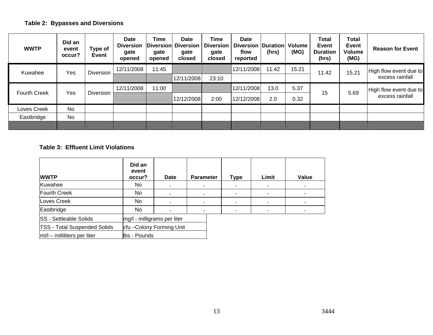## **Table 2: Bypasses and Diversions**

| <b>WWTP</b>         | Did an<br>event<br>occur? | Type of<br>Event | <b>Date</b><br><b>Diversion</b><br>gate<br>opened | <b>Time</b><br>gate<br>opened | <b>Date</b><br>Diversion Diversion<br>gate<br>closed | <b>Time</b><br><b>Diversion</b><br>gate<br>closed | <b>Date</b><br>Diversion   Duration  <br>flow<br>reported | (hrs)      | <b>Volume</b><br>(MG) | <b>Total</b><br>Event<br><b>Duration</b><br>(hrs) | <b>Total</b><br>Event<br><b>Volume</b><br>(MG) | <b>Reason for Event</b> |                        |
|---------------------|---------------------------|------------------|---------------------------------------------------|-------------------------------|------------------------------------------------------|---------------------------------------------------|-----------------------------------------------------------|------------|-----------------------|---------------------------------------------------|------------------------------------------------|-------------------------|------------------------|
| Kuwahee             | Yes                       | <b>Diversion</b> | 12/11/2008                                        | 11:45                         |                                                      |                                                   | 12/11/2008                                                | 11.42      | 15.21                 | 11.42                                             | 15.21                                          | High flow event due to  |                        |
|                     |                           |                  |                                                   |                               | 12/11/2008                                           | 23:10                                             |                                                           |            |                       |                                                   |                                                | excess rainfall         |                        |
| <b>Fourth Creek</b> | Yes                       |                  | <b>Diversion</b>                                  | 12/11/2008                    | 11:00                                                |                                                   |                                                           | 12/11/2008 | 13.0                  | 5.37                                              | 15                                             | 5.69                    | High flow event due to |
|                     |                           |                  |                                                   |                               | 12/12/2008                                           | 2:00                                              | 12/12/2008                                                | 2.0        | 0.32                  |                                                   |                                                | excess rainfall         |                        |
| Loves Creek         | <b>No</b>                 |                  |                                                   |                               |                                                      |                                                   |                                                           |            |                       |                                                   |                                                |                         |                        |
| Eastbridge          | <b>No</b>                 |                  |                                                   |                               |                                                      |                                                   |                                                           |            |                       |                                                   |                                                |                         |                        |
|                     |                           |                  |                                                   |                               |                                                      |                                                   |                                                           |            |                       |                                                   |                                                |                         |                        |

#### **Table 3: Effluent Limit Violations**

| <b>WWTP</b>                         | Did an<br>event<br>occur?   | <b>Date</b>             | <b>Parameter</b> |  | <b>Type</b> | Limit | Value |
|-------------------------------------|-----------------------------|-------------------------|------------------|--|-------------|-------|-------|
| Kuwahee                             | No                          |                         |                  |  |             |       |       |
| Fourth Creek                        | No.                         | $\blacksquare$          |                  |  |             |       |       |
| Loves Creek                         | No.                         |                         |                  |  |             |       |       |
| Eastbridge                          | No.                         | $\blacksquare$          |                  |  |             |       |       |
| <b>SS</b> - Settleable Solids       | mg/l - milligrams per liter |                         |                  |  |             |       |       |
| <b>TSS - Total Suspended Solids</b> |                             | cfu-Colony Forming Unit |                  |  |             |       |       |
| $ m /l$ – milliliters per liter     | Ibs - Pounds                |                         |                  |  |             |       |       |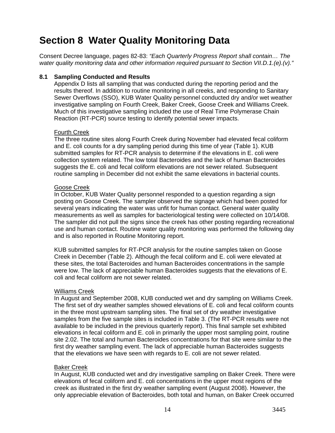# **Section 8 Water Quality Monitoring Data**

Consent Decree language, pages 82-83: *"Each Quarterly Progress Report shall contain… The water quality monitoring data and other information required pursuant to Section VII.D.1.(e).(v)."*

#### **8.1 Sampling Conducted and Results**

Appendix D lists all sampling that was conducted during the reporting period and the results thereof. In addition to routine monitoring in all creeks, and responding to Sanitary Sewer Overflows (SSO), KUB Water Quality personnel conducted dry and/or wet weather investigative sampling on Fourth Creek, Baker Creek, Goose Creek and Williams Creek. Much of this investigative sampling included the use of Real Time Polymerase Chain Reaction (RT-PCR) source testing to identify potential sewer impacts.

#### Fourth Creek

The three routine sites along Fourth Creek during November had elevated fecal coliform and E. coli counts for a dry sampling period during this time of year (Table 1). KUB submitted samples for RT-PCR analysis to determine if the elevations in E. coli were collection system related. The low total Bacteroides and the lack of human Bacteroides suggests the E. coli and fecal coliform elevations are not sewer related. Subsequent routine sampling in December did not exhibit the same elevations in bacterial counts.

#### Goose Creek

In October, KUB Water Quality personnel responded to a question regarding a sign posting on Goose Creek. The sampler observed the signage which had been posted for several years indicating the water was unfit for human contact. General water quality measurements as well as samples for bacteriological testing were collected on 10/14/08. The sampler did not pull the signs since the creek has other posting regarding recreational use and human contact. Routine water quality monitoring was performed the following day and is also reported in Routine Monitoring report.

KUB submitted samples for RT-PCR analysis for the routine samples taken on Goose Creek in December (Table 2). Although the fecal coliform and E. coli were elevated at these sites, the total Bacteroides and human Bacteroides concentrations in the sample were low. The lack of appreciable human Bacteroides suggests that the elevations of E. coli and fecal coliform are not sewer related.

#### Williams Creek

In August and September 2008, KUB conducted wet and dry sampling on Williams Creek. The first set of dry weather samples showed elevations of E. coli and fecal coliform counts in the three most upstream sampling sites. The final set of dry weather investigative samples from the five sample sites is included in Table 3. (The RT-PCR results were not available to be included in the previous quarterly report). This final sample set exhibited elevations in fecal coliform and E. coli in primarily the upper most sampling point, routine site 2.02. The total and human Bacteroides concentrations for that site were similar to the first dry weather sampling event. The lack of appreciable human Bacteroides suggests that the elevations we have seen with regards to E. coli are not sewer related.

#### Baker Creek

In August, KUB conducted wet and dry investigative sampling on Baker Creek. There were elevations of fecal coliform and E. coli concentrations in the upper most regions of the creek as illustrated in the first dry weather sampling event (August 2008). However, the only appreciable elevation of Bacteroides, both total and human, on Baker Creek occurred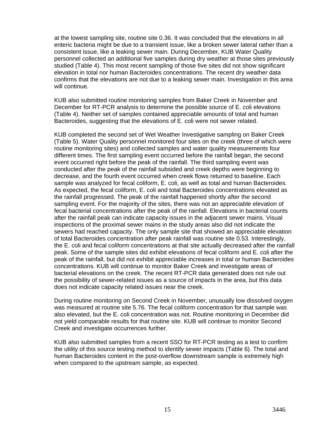at the lowest sampling site, routine site 0.36. It was concluded that the elevations in all enteric bacteria might be due to a transient issue, like a broken sewer lateral rather than a consistent issue, like a leaking sewer main. During December, KUB Water Quality personnel collected an additional five samples during dry weather at those sites previously studied (Table 4). This most recent sampling of those five sites did not show significant elevation in total nor human Bacteroides concentrations. The recent dry weather data confirms that the elevations are not due to a leaking sewer main. Investigation in this area will continue.

KUB also submitted routine monitoring samples from Baker Creek in November and December for RT-PCR analysis to determine the possible source of E. coli elevations (Table 4). Neither set of samples contained appreciable amounts of total and human Bacteroides, suggesting that the elevations of E, coli were not sewer related.

KUB completed the second set of Wet Weather Investigative sampling on Baker Creek (Table 5). Water Quality personnel monitored four sites on the creek (three of which were routine monitoring sites) and collected samples and water quality measurements four different times. The first sampling event occurred before the rainfall began, the second event occurred right before the peak of the rainfall. The third sampling event was conducted after the peak of the rainfall subsided and creek depths were beginning to decrease, and the fourth event occurred when creek flows returned to baseline. Each sample was analyzed for fecal coliform, E. coli, as well as total and human Bacteroides. As expected, the fecal coliform, E. coli and total Bacteroides concentrations elevated as the rainfall progressed. The peak of the rainfall happened shortly after the second sampling event. For the majority of the sites, there was not an appreciable elevation of fecal bacterial concentrations after the peak of the rainfall. Elevations in bacterial counts after the rainfall peak can indicate capacity issues in the adjacent sewer mains. Visual inspections of the proximal sewer mains in the study areas also did not indicate the sewers had reached capacity. The only sample site that showed an appreciable elevation of total Bacteroides concentration after peak rainfall was routine site 0.53. Interestingly, the E. coli and fecal coliform concentrations at that site actually decreased after the rainfall peak. Some of the sample sites did exhibit elevations of fecal coliform and E. coli after the peak of the rainfall, but did not exhibit appreciable increases in total or human Bacteroides concentrations. KUB will continue to monitor Baker Creek and investigate areas of bacterial elevations on the creek. The recent RT-PCR data generated does not rule out the possibility of sewer-related issues as a source of impacts in the area, but this data does not indicate capacity related issues near the creek.

During routine monitoring on Second Creek in November, unusually low dissolved oxygen was measured at routine site 5.76. The fecal coliform concentration for that sample was also elevated, but the E. coli concentration was not. Routine monitoring in December did not yield comparable results for that routine site. KUB will continue to monitor Second Creek and investigate occurrences further.

KUB also submitted samples from a recent SSO for RT-PCR testing as a test to confirm the utility of this source testing method to identify sewer impacts (Table 6). The total and human Bacteroides content in the post-overflow downstream sample is extremely high when compared to the upstream sample, as expected.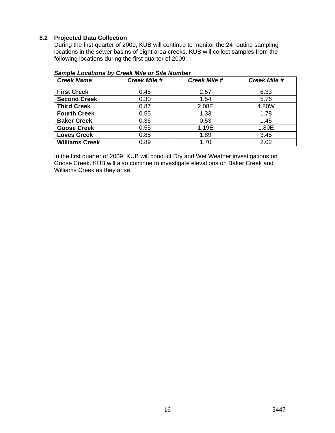#### **8.2 Projected Data Collection**

During the first quarter of 2009, KUB will continue to monitor the 24 routine sampling locations in the sewer basins of eight area creeks. KUB will collect samples from the following locations during the first quarter of 2009:

| <b>Creek Name</b>     | <b>Creek Mile #</b> | <b>Creek Mile #</b> | <b>Creek Mile #</b> |
|-----------------------|---------------------|---------------------|---------------------|
| <b>First Creek</b>    | 0.45                | 2.57                | 6.33                |
| <b>Second Creek</b>   | 0.30                | 1.54                | 5.76                |
| <b>Third Creek</b>    | 0.87                | 2.08E               | 4.80W               |
| <b>Fourth Creek</b>   | 0.55                | 1.33                | 1.78                |
| <b>Baker Creek</b>    | 0.36                | 0.53                | 1.45                |
| <b>Goose Creek</b>    | 0.55                | 1.19E               | 1.80E               |
| <b>Loves Creek</b>    | 0.85                | 1.89                | 3.45                |
| <b>Williams Creek</b> | 0.89                | 1.70                | 2.02                |

#### *Sample Locations by Creek Mile or Site Number*

In the first quarter of 2009, KUB will conduct Dry and Wet Weather investigations on Goose Creek. KUB will also continue to investigate elevations on Baker Creek and Williams Creek as they arise.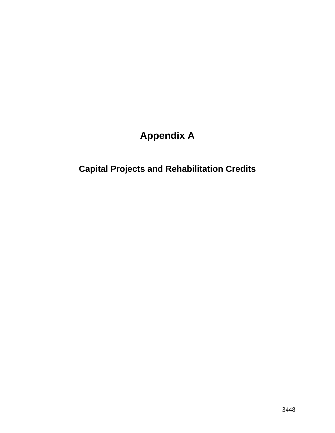# **Appendix A**

# **Capital Projects and Rehabilitation Credits**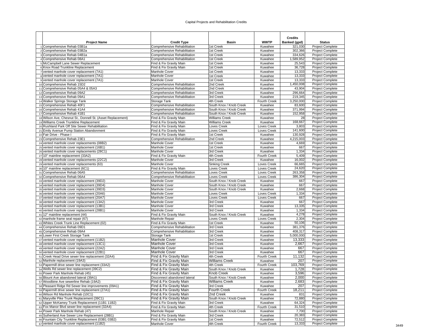#### Capital Projects and Rehabilitation Credits

|                                                                                          |                                                         |                                    |                         | <b>Credits</b>     |                                                    |
|------------------------------------------------------------------------------------------|---------------------------------------------------------|------------------------------------|-------------------------|--------------------|----------------------------------------------------|
| <b>Project Name</b>                                                                      | <b>Credit Type</b>                                      | Basin                              | <b>WWTP</b>             | Banked (gpd)       | <b>Status</b>                                      |
| 1 Comprehensive Rehab 03B1a                                                              | Comprehensive Rehabilitation                            | 1st Creek                          | Kuwahee                 | 321,030            | Project Complete                                   |
| 2 Comprehensive Rehab 03B2a                                                              | Comprehensive Rehabilitation                            | 1st Creek                          | Kuwahee                 | 302,366            | Project Complete                                   |
| 3 Comprehensive Rehab 04B1a                                                              | Comprehensive Rehabilitation                            | 1st Creek                          | Kuwahee                 | 334,626            | <b>Project Complete</b>                            |
| 4 Comprehensive Rehab 08A1                                                               | Comprehensive Rehabilitation                            | 1st Creek                          | Kuwahee                 | 1,589,952          | Project Complete                                   |
| 5 McCampbell Lane Sewer Replacement                                                      | Find & Fix Gravity Main                                 | 1st Creek                          | Kuwahee                 | 25,543             | <b>Project Complete</b>                            |
| 6 Knox Road Trunkline Replacement                                                        | Find & Fix Gravity Main                                 | 1st Creek                          | Kuwahee                 | 36,728             | Project Complete                                   |
| 7 vented manhole cover replacement (7A1)<br>8 vented manhole cover replacement (7A1)     | Manhole Cover<br>Manhole Cover                          | 1st Creek<br>1st Creek             | Kuwahee                 | 13,333             | <b>Project Complete</b><br><b>Project Complete</b> |
| 9 vented manhole cover replacement (7A1)                                                 | Manhole Cover                                           | 1st Creek                          | Kuwahee<br>Kuwahee      | 13,333<br>13,333   | Project Complete                                   |
| 10 Comprehensive Rehab 15D2                                                              | Comprehensive Rehabilitation                            | 2nd Creek                          | Kuwahee                 | 1,450,008          | <b>Project Complete</b>                            |
| 11 Comprehensive Rehab 05A4 & 05A3                                                       | Comprehensive Rehabilitation                            | 2nd Creek                          | Kuwahee                 | 43,904             | Project Complete                                   |
| 12 Comprehensive Rehab 09A2                                                              | Comprehensive Rehabilitation                            | 3rd Creek                          | Kuwahee                 | 296,664            | Project Complete                                   |
| 13 Comprehensive Rehab 09A1                                                              | Comprehensive Rehabilitation                            | 3rd Creek                          | Kuwahee                 | 219,345            | <b>Project Complete</b>                            |
| 14 Walker Springs Storage Tank                                                           | Storage Tank                                            | 4th Creek                          | Fourth Creek            | 3,250,000          | Project Complete                                   |
| 15 Comprehensive Rehab 40F1                                                              | Comprehensive Rehabilitation                            | South Knox / Knob Creek            | Kuwahee                 | 83,600             | <b>Project Complete</b>                            |
| 16 Comprehensive Rehab 41A4                                                              | Comprehensive Rehabilitation                            | South Knox / Knob Creek            | Kuwahee                 | 371,994            | <b>Project Complete</b>                            |
| 17 Comprehensive Rehab 41B1                                                              | Comprehensive Rehabilitation                            | South Knox / Knob Creek            | Kuwahee                 | 152,958            | Project Complete                                   |
| 18 Wilson Ave, Chesnut St., Donnell St. (Asset Replacement)                              | Find & Fix Gravity Main                                 | <b>Williams Creek</b>              | Kuwahee                 | 28                 | Project Complete                                   |
| 19 Williams Creek Trunkline Replacement                                                  | Find & Fix Gravity Main                                 | <b>Williams Creek</b>              | Kuwahee                 | 168,667            | <b>Project Complete</b>                            |
| 20 Rushland Park Off Site Sewer Rehabilitation                                           | Find & Fix Gravity Main                                 | Loves Creek                        | Loves Creek             | 3,803              | Project Complete                                   |
| 21 Emily Avenue Pump Station Abandonment                                                 | Find & Fix Gravity Main                                 | Loves Creek                        | Loves Creek             | 141,600<br>130,928 | <b>Project Complete</b>                            |
| 22 Fair Drive - Phase I<br>23 Comprehensive Rehab 23E1                                   | Find & Fix Gravity Main<br>Comprehensive Rehabilitation | 1st Creek<br>2nd Creek             | Kuwahee<br>Kuwahee      | 4,215,003          | <b>Project Complete</b><br>Project Complete        |
| 24 vented manhole cover replacements (08B2)                                              | Manhole Cover                                           | 1st Creek                          | Kuwahee                 | 4,669              | <b>Project Complete</b>                            |
| 25 vented manhole cover replacement (16B1)                                               | Manhole Cover                                           | 1st Creek                          | Kuwahee                 | 667                | <b>Project Complete</b>                            |
| 26 vented manhole cover replacements (28C1)                                              | Manhole Cover                                           | 3rd Creek                          | Kuwahee                 | 1,334              | <b>Project Complete</b>                            |
| 27 10" mainline replacement (33A2)                                                       | Find & Fix Gravity Main                                 | 4th Creek                          | <b>Fourth Creek</b>     | 5,409              | Project Complete                                   |
| 28 vented manhole cover replacements (22C2)                                              | Manhole Cover                                           | 3rd Creek                          | Kuwahee                 | 16,002             | <b>Project Complete</b>                            |
| 29 vented manhole cover replacements (63)                                                | Manhole Cover                                           | <b>Sinking Creek</b>               | Loves Creek             | 66,665             | Project Complete                                   |
| 30 10" mainline replacement (6C1)                                                        | Find & Fix Gravity Main                                 | Loves Creek                        | Loves Creek             | 24,620             | <b>Project Complete</b>                            |
| 31 Comprehensive Rehab 06A5                                                              | Comprehensive Rehabilitation                            | Loves Creek                        | Loves Creek             | 263,358            | <b>Project Complete</b>                            |
| 32 Comprehensive Rehab 06A4                                                              | Comprehensive Rehabilitation                            | Loves Creek                        | Loves Creek             | 386,304            | <b>Project Complete</b>                            |
| 33 vented manhole cover replacement (39D2)                                               | Manhole Cover                                           | South Knox / Knob Creek            | Kuwahee                 | 667                | Project Complete                                   |
| 34 vented manhole cover replacement (39D4)                                               | Manhole Cover                                           | South Knox / Knob Creek            | Kuwahee                 | 667                | <b>Project Complete</b>                            |
| 35 vented manhole cover replacement (39D3)                                               | Manhole Cover                                           | South Knox / Knob Creek            | Kuwahee                 | 2,668              | <b>Project Complete</b>                            |
| 36 vented manhole cover replacement (20A6)                                               | Manhole Cover                                           | Loves Creek                        | Loves Creek             | 1,334              | Project Complete                                   |
| 37 vented manhole cover replacement (20A7)<br>38 vented manhole cover replacement (13A2) | Manhole Cover<br>Manhole Cover                          | Loves Creek<br>3rd Creek           | Loves Creek<br>Kuwahee  | 667<br>667         | <b>Project Complete</b><br>Project Complete        |
| 39 vented manhole cover replacement (13B1)                                               | Manhole Cover                                           | 3rd Creek                          | Kuwahee                 | 13,335             | Project Complete                                   |
| 40 vented manhole cover replacement (28B1)                                               | Manhole Cover                                           | 3rd Creek                          | Kuwahee                 | 1,334              | Project Complete                                   |
| 41 12" mainline replacement (44)                                                         | Find & Fix Gravity Main                                 | South Knox / Knob Creek            | Kuwahee                 | 4,278              | <b>Project Complete</b>                            |
| 42 manhole frame seal repair (67)                                                        | Manhole Repair                                          | <b>Loves Creek</b>                 | Loves Creek             | 2,304              | <b>Project Complete</b>                            |
| 43 Whites Creek Trunk Line Replacement (02)                                              | Find & Fix Gravity Main                                 | 1st Creek                          | Kuwahee                 | 50,106             | <b>Project Complete</b>                            |
| 44 Comprehensive Rehab 09D1                                                              | Comprehensive Rehabilitation                            | 3rd Creek                          | Kuwahee                 | 381,376            | <b>Project Complete</b>                            |
| 45 Comprehensive Rehab 09A4                                                              | Comprehensive Rehabilitation                            | 3rd Creek                          | Kuwahee                 | 408,317            | Project Complete                                   |
| 46 Lower First Creek Storage Tank                                                        | Storage Tank                                            | 1st Creek                          | Kuwahee                 | 5,000,000          | <b>Project Complete</b>                            |
| 47 vented manhole cover replacement (11B2)                                               | <b>Manhole Cover</b>                                    | 3rd Creek                          | Kuwahee                 | 13,333             | Project Complete                                   |
| 48 vented manhole cover replacement (13C1)                                               | <b>Manhole Cover</b>                                    | 3rd Creek                          | Kuwahee                 | 2,667              | Project Complete                                   |
| 49 vented manhole cover replacement (22A2)                                               | Manhole Cover                                           | 3rd Creek                          | Kuwahee                 | 667                | Project Complete                                   |
| 50 vented manhole cover replacement (22B1)                                               | Manhole Cover                                           | 3rd Creek                          | Kuwahee                 | 667                | <b>Project Complete</b>                            |
| 51 Creek Head Drive sewer line replacement (32A4)                                        | Find & Fix Gravity Main                                 | 4th Creek                          | <b>Fourth Creek</b>     | 11,132<br>207      | <b>Project Complete</b>                            |
| 52 Manhole replacement (19A3)<br>53 Papermill drive sewer line replacement (33A2)        | Find & Fix Gravity Main<br>Find & Fix Gravity Main      | <b>Williams Creek</b><br>4th Creek | Kuwahee<br>Fourth Creek | 103,769            | <b>Project Complete</b><br><b>Project Complete</b> |
| 54 Wells Rd sewer line replacement (39C2)                                                | Find & Fix Gravity Main                                 | South Knox / Knob Creek            | Kuwahee                 | 1,728              | Project Complete                                   |
| 55 Power Park Manhole Rehab (45)                                                         | Find & Fix Gravity Main                                 | <b>Knob Creek</b>                  | Kuwahee                 | 3,596              | <b>Project Complete</b>                            |
| 56 Blount Ave abandoned lateral (39A1)                                                   | Disconnect abandoned lateral                            | South Knox / Knob Creek            | Kuwahee                 | 2,000              | <b>Project Complete</b>                            |
| 57 Woodbine Ave sewerline Rehab (19A2)                                                   | Find & Fix Gravity Main                                 | <b>Williams Creek</b>              | Kuwahee                 | 2,683              | <b>Project Complete</b>                            |
| 58 Pleasant Ridge Rd Sewer line improvements (09A1)                                      | Find & Fix Gravity Main                                 | 3rd Creek                          | Kuwahee                 | 207                | Project Complete                                   |
| 59 Papermill drive sewer line replacement (27A1)                                         | Find & Fix Gravity Main                                 | Fourth Creek                       | Fourth Creek            | 18,211             | Project Complete                                   |
| 60 Wilson Rd Manhole Rehab (10C1)                                                        | Find & Fix Gravity Main                                 | 2nd Creek                          | Kuwahee                 | 831                | <b>Project Complete</b>                            |
| 61 Maryville Pike Trunk Replacement (39C1)                                               | Find & Fix Gravity Main                                 | South Knox / Knob Creek            | Kuwahee                 | 72,880             | Project Complete                                   |
| 62 Upper McKamey Trunk Replacement (11B1 11B2)                                           | Find & Fix Gravity Main                                 | 3rd Creek                          | Kuwahee                 | 64,324             | Project Complete                                   |
| 63 Fox Manor Blvd sewer line replacement (32A4)                                          | Find & Fix Gravity Main                                 | 4th Creek                          | Fourth Creek            | 31,510             | Project Complete                                   |
| 64 Power Park Manhole Rehab (47)                                                         | Manhole Repair                                          | South Knox / Knob Creek            | Kuwahee                 | 7,700              | <b>Project Complete</b>                            |
| 65 Sutherland Ave Sewer Line Replacement (28B1)                                          | Find & Fix Gravity Main                                 | 3rd Creek                          | Kuwahee                 | 20,383             | Project Complete                                   |
| 66 Fountain City Trunkline Replacement (03B1 03B2)                                       | Find & Fix Gravity Main                                 | 1st Creek                          | Kuwahee                 | 72,512             | <b>Project Complete</b>                            |
| 67 vented manhole cover replacement (11B2)                                               | Manhole Cover                                           | 4th Creek                          | Fourth Creek            | 13,333             | <b>Project Complete</b>                            |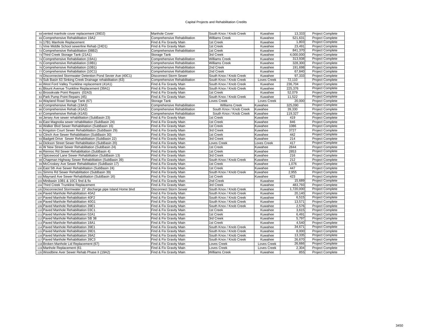#### Capital Projects and Rehabilitation Credits

| 68 vented manhole cover replacement (39D2)                      | Manhole Cover                 | South Knox / Knob Creek | Kuwahee            | 13,333    | <b>Project Complete</b> |
|-----------------------------------------------------------------|-------------------------------|-------------------------|--------------------|-----------|-------------------------|
| 69 Comprehensive Rehabilitation 19A2                            | Comprehensive Rehabilitation  | <b>Williams Creek</b>   | Kuwahee            | 521,631   | Project Complete        |
| 70 17B1 Manhole Replacement                                     | Find & Fix Gravity Main       | 1st Creek               | Kuwahee            | 1,803     | <b>Project Complete</b> |
| 71 Vine Middle School sewerline Rehab (24D1)                    | Find & Fix Gravity Main       | 1st Creek               | Kuwahee            | 23.491    | <b>Project Complete</b> |
| 72 Comprehensive Rehabilitation (08B2)                          | Comprehensive Rehabilitation  | 1st Creek               | Kuwahee            | 841.370   | <b>Project Complete</b> |
| 73 Third Creek Storage Tank (21A1)                              | Storage Tank                  | 3rd Creek               | Kuwahee            | 4,000,000 | <b>Project Complete</b> |
| 74 Comprehensive Rehabiliation (19A1)                           | Comprehensive Rehabilitation  | <b>Williams Creek</b>   | Kuwahee            | 313,938   | <b>Project Complete</b> |
| 75 Comprehensive Rehabiliation (19B1)                           | Comprehensive Rehabilitation  | <b>Williams Creek</b>   | Kuwahee            | 328,300   | Project Complete        |
| 76 Comprehensive Rehabiliation (10B1)                           | Comprehensive Rehabilitation  | 2nd Creek               | Kuwahee            | 191,698   | <b>Project Complete</b> |
| 77 Comprehensive Rehabiliation (10C1)                           | Comprehensive Rehabilitation  | 2nd Creek               | Kuwahee            | 67,840    | <b>Project Complete</b> |
| 78 Disconnected Stormwater Detention Pond Sevier Ave (40C1)     | <b>Disconnect Storm Sewer</b> | South Knox / Knob Creek | Kuwahee            | 97,333    | <b>Project Complete</b> |
| 79 Sub Basin 63 Sinking Creek Drainage rehabilitation (63)      | Comprehensive Rehabilitation  | South Knox / Knob Creek | Loves Creek        | 72,110    | <b>Project Complete</b> |
| 80 West Ford Valley Trunkline replacement (41A1)                | Find & Fix Gravity Main       | South Knox / Knob Creek | Kuwahee            | 236,704   | <b>Project Complete</b> |
| 81 Blount Avenue Trunkline Replacement (39A1)                   | Find & Fix Gravity Main       | South Knox / Knob Creek | Kuwahee            | 225,376   | <b>Project Complete</b> |
| 82 Broookvale Point Repairs (02A3)                              | Find & Fix Gravity Main       | 1st Creek               | Kuwahee            | 52,079    | <b>Project Complete</b> |
| 83 Park Pump Point Repairs (45)                                 | Find & Fix Gravity Main       | South Knox / Knob Creek | Kuwahee            | 11,522    | <b>Project Complete</b> |
| 84 Wayland Road Storage Tank (67)                               | Storage Tank                  | Loves Creek             | Loves Creek        | 20,000    | <b>Project Complete</b> |
| 85 Comprehensive Rehab (19A3)                                   | Comprehensive Rehabilitation  | <b>Williams Creek</b>   | Kuwahee            | 325,090   | <b>Project Complete</b> |
| 86 Comprehensive Rehab (41A2)                                   | Comprehensive Rehabilitation  | South Knox / Knob Creek | Kuwahee            | 39,330    | <b>Project Complete</b> |
| 87 Comprehensive Rehab (41A5)                                   | Comprehensive Rehabilitation  | South Knox / Knob Creek | Kuwahee            | 119,327   | Project Complete        |
| 88 Jersey Ave sewer rehabilitation (SubBasin 23)                | Find & Fix Gravity Main       | 1st Creek               | Kuwahee            | 419       | <b>Project Complete</b> |
| 89 East Magnolia sewer rehabilitation (SubBasin 24)             | Find & Fix Gravity Main       | 1st Creek               | Kuwahee            | 846       | <b>Project Complete</b> |
| 90 Walker Blvd Sewer Rehabilitation (SubBasin 16)               | Find & Fix Gravity Main       | 1st Creek               | Kuwahee            | 1086      | <b>Project Complete</b> |
| 91 Kingston Court Sewer Rehabilitation (SubBasin 29)            | Find & Fix Gravity Main       | 3rd Creek               | Kuwahee            | 3727      | Project Complete        |
| 92 Clinch Ave Sewer Rehabilitation (SubBasin 30)                | Find & Fix Gravity Main       | 1st Creek               | Kuwahee            | 442       | Project Complete        |
| 93 Badgett Drive Sewer Rehabilitation (SubBasin 22)             | Find & Fix Gravity Main       | 3rd Creek               | Kuwahee            | 214       | <b>Project Complete</b> |
| 94 Dickson Street Sewer Rehabilitation (SubBasin 20)            | Find & Fix Gravity Main       | <b>Loves Creek</b>      | <b>Loves Creek</b> | 417       | <b>Project Complete</b> |
| 95 W New Street Sewer Rehabilitation (SubBasin 24)              | Find & Fix Gravity Main       | 1st Creek               | Kuwahee            | 2844      | <b>Project Complete</b> |
| 96 Rennoc Rd Sewer Rehabilitation (SubBasin 4)                  | Find & Fix Gravity Main       | 1st Creek               | Kuwahee            | 2853      | <b>Project Complete</b> |
| 97 Spicewood Lane Sewer Rehabilitation (SubBasin 13)            | Find & Fix Gravity Main       | 3rd Creek               | Kuwahee            | 216       | <b>Project Complete</b> |
| 98 Chapman Highway Sewer Rehabilitation (SubBasin 39)           | Find & Fix Gravity Main       | South Knox / Knob Creek | Kuwahee            | 212       | Project Complete        |
| 99 McCroskey Ave Sewer Rehabilitation (SubBasin 17)             | Find & Fix Gravity Main       | 1st Creek               | Kuwahee            | 1,076     | Project Complete        |
| 100 East 5th Ave Sewer Rehabilitation (SubBasin 24)             | Find & Fix Gravity Main       | 1st Creek               | Kuwahee            | 447       | Project Complete        |
| 101 Simms Rd Sewer Rehabilitation (SubBasin 39)                 | Find & Fix Gravity Main       | South Knox / Knob Creek | Kuwahee            | 2,955     | <b>Project Complete</b> |
| 102 Maynard Ave Sewer Rehabilitation (SubBasin 16)              | Find & Fix Gravity Main       | 1st Creek               | Kuwahee            | 423       | <b>Project Complete</b> |
| 103 Minibasin 10B1 & 10C1 find & fix                            | Find & Fix Gravity Main       | 2nd Creek               | Kuwahee            | 15,689    | <b>Project Complete</b> |
| 104 Third Creek Trunkline Replacement                           | Find & Fix Gravity Main       | 3rd Creek               | Kuwahee            | 483,793   | <b>Project Complete</b> |
| 105 Disconnected Stormwater 15" discharge pipe Island Home blvd | <b>Disconnect Storm Sewer</b> | South Knox / Knob Creek | Kuwahee            | 1,720,000 | <b>Project Complete</b> |
| 106 Paved Manhole Rehabilitation 40A2                           | Find & Fix Gravity Main       | South Knox / Knob Creek | Kuwahee            | 20,140    | <b>Project Complete</b> |
| 107 Paved Manhole Rehabilitation 40F2                           | Find & Fix Gravity Main       | South Knox / Knob Creek | Kuwahee            | 6,515     | <b>Project Complete</b> |
| 108 Paved Manhole Rehabilitation 40G1                           | Find & Fix Gravity Main       | South Knox / Knob Creek | Kuwahee            | 13,571    | <b>Project Complete</b> |
| 109 Paved Manhole Rehabilitation 39E1                           | Find & Fix Gravity Main       | South Knox / Knob Creek | Kuwahee            | 2,576     | Project Complete        |
| 110 Paved Manhole Rehabilitation 03C1                           | Find & Fix Gravity Main       | 1st Creek               | Kuwahee            | 3,615     | <b>Project Complete</b> |
| 111 Paved Manhole Rehabilitation 02A1                           | Find & Fix Gravity Main       | 1st Creek               | Kuwahee            | 6,491     | <b>Project Complete</b> |
| 112 Paved Manhole Rehabilitation SB 38                          | Find & Fix Gravity Main       | 3rd Creek               | Kuwahee            | 5,797     | <b>Project Complete</b> |
| 113 Paved Manhole Rehabilitation 18A1                           | Find & Fix Gravity Main       | 1st Creek               | Kuwahee            | 4,540     | <b>Project Complete</b> |
| 114 Paved Manhole Rehabilitation 39E1                           | Find & Fix Gravity Main       | South Knox / Knob Creek | Kuwahee            | 34,671    | Project Complete        |
| 115 Paved Manhole Rehabilitation 39D1                           | Find & Fix Gravity Main       | South Knox / Knob Creek | Kuwahee            | 8,000     | <b>Project Complete</b> |
| 116 Paved Manhole Rehabilitation 39A2                           | Find & Fix Gravity Main       | South Knox / Knob Creek | Kuwahee            | 13,335    | <b>Project Complete</b> |
| 117 Paved Manhole Rehabilitation 39C3                           | Find & Fix Gravity Main       | South Knox / Knob Creek | Kuwahee            | 26.670    | <b>Project Complete</b> |
| 118 Broken Manhole Lid Replacement (67)                         | Find & Fix Gravity Main       | Loves Creek             | Loves Creek        | 26,666    | <b>Project Complete</b> |
| 119 Manhole Replacement (61                                     | Find & Fix Gravity Main       | Loves Creek             | Loves Creek        | 2,304     | <b>Project Complete</b> |
| 120 Woodbine Aver Sewer Rehab Phase II (19A2)                   | Find & Fix Gravity Main       | <b>Williams Creek</b>   | Kuwahee            | 855       | <b>Project Complete</b> |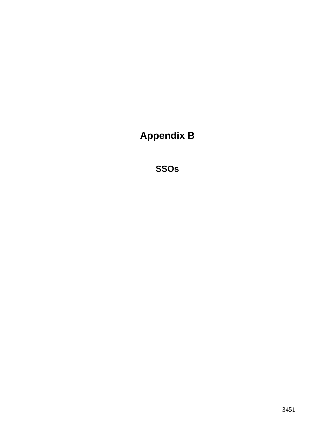**Appendix B** 

**SSOs**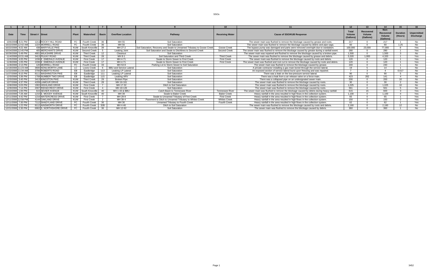#### SSOs

| Date                | Time                | Street # Street |                           | Plant      | Watershed           | <b>Basin</b> | <b>Overflow Location</b>      | Pathway                                                                 | <b>Receiving Water</b> | <b>Cause of SSO/KUB Response</b>                                                            |         | Recovered<br>Volume<br>(Gallons) | Non-<br><b>Recovere</b><br>Volume<br>(Gallons) | <b>Duration</b><br>(Hours) | Unpermitted<br><b>Discharge</b> |
|---------------------|---------------------|-----------------|---------------------------|------------|---------------------|--------------|-------------------------------|-------------------------------------------------------------------------|------------------------|---------------------------------------------------------------------------------------------|---------|----------------------------------|------------------------------------------------|----------------------------|---------------------------------|
|                     | 10/6/2008 8:21 PM   |                 | 1211 ROCKY HILL ROAD      | FC.        | Fourth Creek        | 36.          | MH 55                         | <b>Soil Saturation</b>                                                  |                        | The sewer main was flushed to remove the blockage caused by grease and roots.               | 217     |                                  | 217                                            |                            |                                 |
|                     | 10/22/2008 12:42 AM |                 | 1224 MORRELL ROAD         |            | Fourth Creek        | -36          | MH 56                         | Soil Saturation                                                         |                        | The sewer main was flushed to remove the blockage caused by debris and pipe sags.           | 60      |                                  | ഭറ                                             | 1.25                       | No.                             |
|                     | 10/22/2008 9:22 AM  |                 | <b>438 MARYVILLE PIKE</b> |            | KUW South Knoxville | -39          | MH 27-2                       | Soil Saturation, Recovery and Swale to Unnamed Tributary to Goose Creek | Goose Creek            | The bypass pump was damaged and parts were removed overnight due to vandalism.              | 100.000 | 23.000                           | 77.000                                         |                            | Yes                             |
|                     | 10/24/2008 12:45 PM |                 | 405 MERCHANTS DRIVE       | KUW        | Second Creek        |              | Leaking Joint                 | Soil Saturation and Swale to Ditchlines to Second Creek                 | Second Creek           | The sewer main was flushed to remove the blockage caused by grease during a rainfall event. | 280     |                                  | 280                                            |                            | <b>Yes</b>                      |
|                     | 10/29/2008 5:49 PM  |                 | 4801 WILKSHIRE DRIVE      | KUW        | <b>Third Creek</b>  |              | Cleanout                      | <b>Soil Saturation</b>                                                  |                        | The sewer main was repaired and flushed to remove the blockage caused by a broken pipe.     | 1,500   |                                  | 1.500                                          |                            | No                              |
|                     | 11/4/2008 10:31 AM  |                 | 3413 PILKAY ROAD          | KUW        | <b>Third Creek</b>  |              | $MH 8-1$                      | Soil Saturation and Third Creek                                         | <b>Third Creek</b>     | The sewer main was flushed to remove the blockage caused by grease and debris.              | 5.320   | 1,000                            | 4.320                                          |                            | Yes                             |
|                     | 11/5/2008 4:05 PM   |                 | 1036 E EMERALD AVENUE     | <b>KUW</b> | <b>First Creek</b>  |              | MH 4-71                       | Swale to Storm Sewer to First Creek                                     | <b>First Creek</b>     | The sewer main was flushed to remove the blockage caused by roots and debris.               | 120     |                                  | 120                                            |                            | Yes                             |
|                     | 11/9/2008 1:05 PM   |                 | 1036 E EMERALD AVENUE     | KUW        | <b>First Creek</b>  |              | MH 4-71                       | Swale to Storm Sewer to First Creek                                     | <b>First Creek</b>     | The sewer main was flushed and root cut to remove the blockage caused by roots and debris.  | 120     |                                  | 120                                            |                            | Yes                             |
|                     | 11/9/2008 2:13 PM   |                 | 120 MORRELL ROAD          | FC.        | Fourth Creek        |              | MH 53-8                       | Parking Lot to Storm Sewer to Soil Saturation                           |                        | The sewer main was flushed to remove the blockage caused by grease.                         | 240     |                                  | 240                                            |                            | No.                             |
| 11/19/2008 11:23 AM |                     |                 | 3600 KENILWORTH LANE      | LC         | Loves Creek         |              | <b>BBU and Service Latera</b> | Soil Saturation                                                         |                        | A private contractor installing a gas main bored through the service lateral.               | - 19    |                                  |                                                |                            | No.                             |
|                     | 11/22/2008 11:34 AM |                 | 3706 ROBERTS ROAD         | EB.        | Eastbridge          |              | Leaking LP Lateral            | Soil Saturation                                                         |                        | An exposed section of service lateral burst upon freezing and was repaired.                 |         |                                  |                                                | 0.017                      | No                              |
|                     | 11/27/2008 8:15 PM  |                 | 8111 WASHINGTON PIKE      | <b>EB</b>  | Eastbridge          |              | Leaking LP Lateral            | Soil Saturation                                                         |                        | There was a leak on the low-pressure service lateral.                                       | റെ      |                                  | -ar                                            |                            | No.                             |
|                     | 12/3/2008 3:36 PM   |                 | 1708 NUMBER TWO DRIVE     | EB         | Eastbridge          | 115          | Leaking ARV                   | Soil Saturation                                                         |                        | There was a leak from a air release valve on a force main                                   | 423     | 282                              | 141                                            |                            | No.                             |
|                     | 12/3/2008 3:45 PM   |                 | 3413 KINGSTON PIKE        | <b>KUW</b> | <b>Third Creek</b>  | ാറ           | <b>Broken Pipe</b>            | Soil Saturation                                                         |                        | There was a collapsed pipe on an undesignated sewer main.                                   | 200     |                                  | 200                                            | 10                         | No                              |
|                     | 12/7/2008 4:37 PM   |                 | 4209 LAMOUR DRIVE         | <b>KUW</b> | <b>Third Creek</b>  | つえ           | MH 16-161                     | Soil Saturation                                                         |                        | The sewer main was flushed to remove the blockage caused by roots.                          | 30      |                                  | -3Ο                                            |                            | No.                             |
|                     | 12/8/2008 5:03 PM   |                 | 1902 HIGHLAND DRIVE       | <b>KUW</b> | <b>First Creek</b>  |              | MH 17-32                      | Ditch to Soil Saturation                                                |                        | The sewer main was flushed to remove the blockage caused by roots.                          | 1,025   |                                  | 1.025                                          | 10                         | No.                             |
|                     | 12/9/2008 7:14 PM   |                 | 2007 RIDGECREST DRIVE     | KUW        | <b>First Creek</b>  |              | MH 18-126                     | <b>Soil Saturation</b>                                                  |                        | The sewer main was flushed to remove the blockage caused by roots.                          | 561     |                                  | 561                                            |                            | No.                             |
|                     | 12/10/2008 1:00 PM  |                 | 615 SEVIER AVENUE         |            | KUW South Knoxville |              | MH 1-43 & BBU                 | Catch Basin to Tennessee River                                          | <b>Tennessee River</b> | The sewer main was flushed to remove the blockage caused by debris during heavy rainfall.   | 615     | 15                               | 600                                            |                            | Yes                             |
|                     | 12/10/2008 7:26 AM  |                 | 1210 E. MOODY AVENUE      |            | KUW South Knoxville |              | MH 39                         | Swale to Baker Creek                                                    | <b>Baker Creek</b>     | Heavy rainfall in the area resulted in high flows in the collection system.                 | 1,100   |                                  | 1.100                                          |                            | Yes                             |
| 12/11/2008 4:42 PM  |                     |                 | 1216 WATERCRESS DRIVE     | <b>KUW</b> | <b>First Creek</b>  |              | MH 29-9                       | Swale to Unnamed Tributary of First Creek                               | <b>First Creek</b>     | Heavy rainfall in the area resulted in high flows in the collection system.                 | 65      |                                  |                                                |                            | Yes                             |
|                     | 12/11/2008 12:58 PM |                 | 4144 OAKLAND DRIVE        | <b>KUW</b> | <b>First Creek</b>  |              | MH 39-4                       | Pavement to Ditch to Unnamed Tributary to Whites Creek                  | <b>Whites Creek</b>    | Heavy rainfall in the area resulted in high flows in the collection system.                 | 150     |                                  | 150                                            |                            | Yes                             |
| 12/11/2008 7:30 PM  |                     |                 | 7112 SHADYLAND DRIVE      |            | <b>Fourth Creek</b> | 36.          | MH 36                         | Unnamed Tributary to Fourth Creek                                       | <b>Fourth Creek</b>    | Heavy rainfall in the area resulted in high flows in the collection system.                 | 62      |                                  | -62                                            |                            | Yes                             |
|                     | 12/13/2008 1:22 PM  |                 | 8112 AINSWORTH DRIVE      |            | <b>Fourth Creek</b> | 32B          | MH 4-46                       | Ditch to Soil Saturation                                                |                        | The sewer main was flushed to remove the blockage caused by roots and debris.               | 2,160   |                                  | 2.160                                          | $12 \overline{ }$          | No                              |
|                     | 12/21/2008 2:30 PM  |                 | 6902 S. NORTHSHORE DRIVE  |            | Fourth Creek        | -36          | MH 12-62                      | Soil Saturation                                                         |                        | The sewer main was flushed to remove the blockage caused by debris.                         | 360     |                                  | 360                                            |                            |                                 |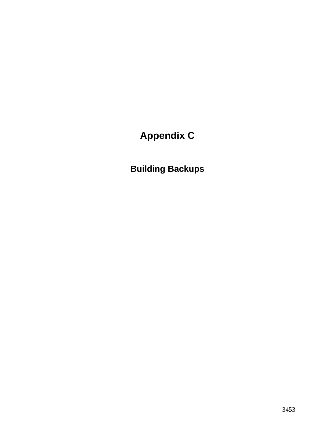# **Appendix C**

**Building Backups**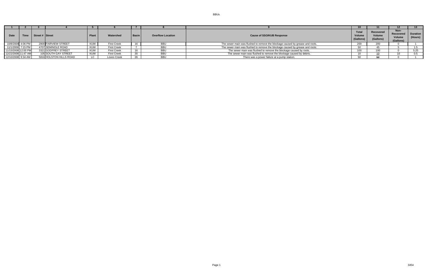| <b>Date</b>         | Time              | Street # Street |                         | Plant      | Watershed          | <b>Basir</b> | <b>Overflow Location</b> | <b>Total</b><br><b>Cause of SSO/KUB Response</b><br>Volum<br>(Gallons)        |     | Recovered<br>Volume<br>(Gallons) | Non-<br>Recovered   Duration<br>Volume<br>(Gallons) | (Hours) |
|---------------------|-------------------|-----------------|-------------------------|------------|--------------------|--------------|--------------------------|-------------------------------------------------------------------------------|-----|----------------------------------|-----------------------------------------------------|---------|
|                     | 10/8/2008 4:06 PM |                 | 2800 FAIRVIEW STREET    | KUW        | <b>First Creek</b> |              | BBU                      | The sewer main was flushed to remove the blockage caused by grease and roots. | 200 |                                  |                                                     |         |
| 11/1/2008 7:15 PM   |                   |                 | 4707 SEMINOLE ROAD      | KUW        | <b>First Creek</b> |              | BBU                      | The sewer main was flushed to remove the blockage caused by grease and roots. |     |                                  |                                                     |         |
| 11/15/2008 12:00 PM |                   |                 | 3321 GODFREY STREET     | <b>KUW</b> | First Creek        |              | <b>BBU</b>               | The sewer main was flushed to remove the blockage caused by roots.            | 100 |                                  |                                                     | 5.25    |
| 12/22/2008 11:47 AM |                   |                 | 105 SOUTH GAY STREET    | KUW        | <b>First Creek</b> |              | BBU                      | The sewer main was flushed to remove the blockage caused by debris.           |     |                                  |                                                     |         |
| 12/10/2008 9:34 AM  |                   |                 | 5816 HOLSTON HILLS ROAD |            | Loves Creek        |              | <b>BBU</b>               | There was a power failure at a pump station.                                  |     |                                  |                                                     |         |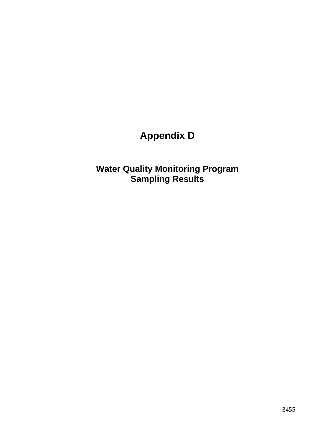# **Appendix D**

**Water Quality Monitoring Program Sampling Results**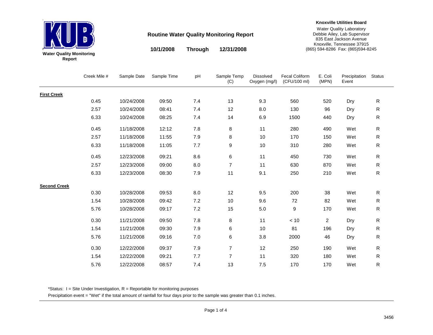

**10/1/2008 12/31/2008Through**

#### **Knoxville Utilities Board**

Water Quality Laboratory Debbie Ailey, Lab Supervisor 835 East Jackson Avenue Knoxville, Tennessee 37915 (865) 594-8286 Fax: (865)594-8245

Creek Mile # Sample Date Sample Time pH Sample Temp (C) Dissolved Oxygen (mg/l) Fecal Coliform (CFU/100 ml) E. Coli (MPN) Precipitation EventStatus **First Creek**0.45 10/24/2008 09:50 7.4 13 9.3 560 520 Dry R 2.57 10/24/2008 08:41 7.4 12 8.0 130 96 Dry R 6.33 10/24/2008 08:25 7.4 14 6.9 1500 440 Dry R 0.45 11/18/2008 12:12 7.8 8 11 280 490 Wet R2.57 11/18/2008 11:55 7.9 8 10 170 150 Wet R $\mathsf{R}$ 6.33 11/18/2008 11:05 7.7 9 10 310 280 Wet R0.45 12/23/2008 09:21 8.6 6 11 450 730 Wet R2.57 12/23/2008 09:00 8.0 7 11 630 870 Wet R6.33 12/23/2008 08:30 7.9 11 9.1 250 210 Wet R**Second Creek**0.30 10/28/2008 09:53 8.0 12 9.5 200 38 Wet R1.54 10/28/2008 09:42 7.2 10 9.6 72 82 Wet R5.76 10/28/2008 09:17 7.2 15 5.0 9 170 Wet R0.30 11/21/2008 09:50 7.8 8 11 < 10 2 Dry R 1.54 11/21/2008 09:30 7.9 6 10 81 196 Dry R 5.76 11/21/2008 09:16 7.0 6 3.8 2000 46 Dry R 0.30 12/22/2008 09:37 7.9 7 12 250 190 Wet R1.54 12/22/2008 09:21 7.7 7 11 320 180 Wet R5.76 12/22/2008 08:577.4 13 7.5 170 170 Wet R

\*Status:  $I =$  Site Under Investigation,  $R =$  Reportable for monitoring purposes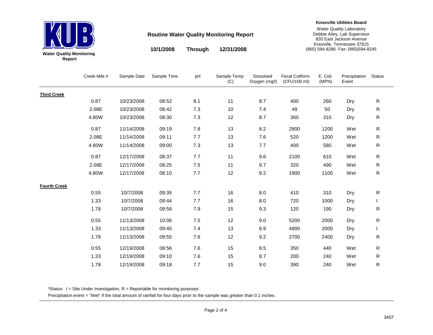

**10/1/2008 12/31/2008 Through**

#### **Knoxville Utilities Board**

Water Quality Laboratory Debbie Ailey, Lab Supervisor 835 East Jackson Avenue Knoxville, Tennessee 37915 (865) 594-8286 Fax: (865)594-8245

|                     | Creek Mile # | Sample Date | Sample Time | pH      | Sample Temp<br>(C) | Dissolved<br>Oxygen (mg/l) | <b>Fecal Coliform</b><br>(CFU/100 ml) | E. Coli<br>(MPN) | Precipitation<br>Event | Status       |
|---------------------|--------------|-------------|-------------|---------|--------------------|----------------------------|---------------------------------------|------------------|------------------------|--------------|
| <b>Third Creek</b>  |              |             |             |         |                    |                            |                                       |                  |                        |              |
|                     | 0.87         | 10/23/2008  | 08:52       | 8.1     | 11                 | 8.7                        | 400                                   | 260              | Dry                    | $\mathsf{R}$ |
|                     | 2.08E        | 10/23/2008  | 08:42       | 7.3     | 10                 | 7.4                        | 49                                    | 50               | Dry                    | ${\sf R}$    |
|                     | 4.80W        | 10/23/2008  | 08:30       | 7.3     | 12                 | 8.7                        | 360                                   | 310              | Dry                    | $\mathsf{R}$ |
|                     | 0.87         | 11/14/2008  | 09:19       | 7.8     | 13                 | 8.2                        | 2800                                  | 1200             | Wet                    | $\mathsf{R}$ |
|                     | 2.08E        | 11/14/2008  | 09:11       | 7.7     | 13                 | 7.6                        | 520                                   | 1200             | Wet                    | R            |
|                     | 4.80W        | 11/14/2008  | 09:00       | 7.3     | 13                 | 7.7                        | 400                                   | 580              | Wet                    | $\mathsf{R}$ |
|                     | 0.87         | 12/17/2008  | 08:37       | 7.7     | 11                 | 9.6                        | 2100                                  | 610              | Wet                    | $\mathsf{R}$ |
|                     | 2.08E        | 12/17/2008  | 08:25       | 7.5     | 11                 | 9.7                        | 320                                   | 490              | Wet                    | $\mathsf{R}$ |
|                     | 4.80W        | 12/17/2008  | 08:10       | 7.7     | 12                 | 9.2                        | 1900                                  | 1100             | Wet                    | $\mathsf{R}$ |
| <b>Fourth Creek</b> |              |             |             |         |                    |                            |                                       |                  |                        |              |
|                     | 0.55         | 10/7/2008   | 09:35       | 7.7     | 16                 | 8.0                        | 410                                   | 310              | Dry                    | R            |
|                     | 1.33         | 10/7/2008   | 09:44       | 7.7     | 16                 | 8.0                        | 720                                   | 1000             | Dry                    |              |
|                     | 1.78         | 10/7/2008   | 09:56       | 7.9     | 15                 | 9.3                        | 120                                   | 190              | Dry                    | R            |
|                     | 0.55         | 11/13/2008  | 10:06       | $7.5\,$ | 12                 | 9.0                        | 5200                                  | 2000             | Dry                    | $\mathsf{R}$ |
|                     | 1.33         | 11/13/2008  | 09:45       | 7.4     | 13                 | 8.9                        | 4800                                  | 2000             | Dry                    |              |
|                     | 1.78         | 11/13/2008  | 09:55       | 7.6     | 12                 | 9.2                        | 2700                                  | 2400             | Dry                    | R            |
|                     | 0.55         | 12/19/2008  | 08:56       | 7.6     | 15                 | 8.5                        | 350                                   | 440              | Wet                    | $\mathsf{R}$ |
|                     | 1.33         | 12/19/2008  | 09:10       | 7.6     | 15                 | 8.7                        | 200                                   | 240              | Wet                    | $\mathsf{R}$ |
|                     | 1.78         | 12/19/2008  | 09:18       | 7.7     | 15                 | 9.0                        | 390                                   | 240              | Wet                    | R            |

\*Status: I = Site Under Investigation, R = Reportable for monitoring purposes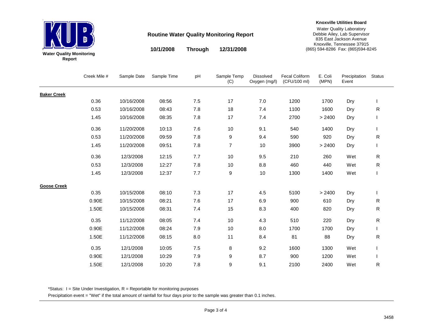

**10/1/2008 12/31/2008 Through**

#### **Knoxville Utilities Board**

Water Quality Laboratory Debbie Ailey, Lab Supervisor 835 East Jackson Avenue Knoxville, Tennessee 37915 (865) 594-8286 Fax: (865)594-8245

|                    | Creek Mile # | Sample Date | Sample Time | pH  | Sample Temp<br>(C) | Dissolved<br>Oxygen (mg/l) | Fecal Coliform<br>(CFU/100 ml) | E. Coli<br>(MPN) | Precipitation<br>Event | <b>Status</b> |
|--------------------|--------------|-------------|-------------|-----|--------------------|----------------------------|--------------------------------|------------------|------------------------|---------------|
| <b>Baker Creek</b> |              |             |             |     |                    |                            |                                |                  |                        |               |
|                    | 0.36         | 10/16/2008  | 08:56       | 7.5 | 17                 | 7.0                        | 1200                           | 1700             | Dry                    |               |
|                    | 0.53         | 10/16/2008  | 08:43       | 7.8 | 18                 | 7.4                        | 1100                           | 1600             | Dry                    | $\mathsf{R}$  |
|                    | 1.45         | 10/16/2008  | 08:35       | 7.8 | 17                 | 7.4                        | 2700                           | > 2400           | Dry                    |               |
|                    | 0.36         | 11/20/2008  | 10:13       | 7.6 | 10                 | 9.1                        | 540                            | 1400             | Dry                    |               |
|                    | 0.53         | 11/20/2008  | 09:59       | 7.8 | 9                  | 9.4                        | 590                            | 920              | Dry                    | R             |
|                    | 1.45         | 11/20/2008  | 09:51       | 7.8 | $\overline{7}$     | 10                         | 3900                           | > 2400           | Dry                    |               |
|                    | 0.36         | 12/3/2008   | 12:15       | 7.7 | 10                 | 9.5                        | 210                            | 260              | Wet                    | ${\sf R}$     |
|                    | 0.53         | 12/3/2008   | 12:27       | 7.8 | 10                 | 8.8                        | 460                            | 440              | Wet                    | $\mathsf R$   |
|                    | 1.45         | 12/3/2008   | 12:37       | 7.7 | 9                  | 10                         | 1300                           | 1400             | Wet                    |               |
| <b>Goose Creek</b> |              |             |             |     |                    |                            |                                |                  |                        |               |
|                    | 0.35         | 10/15/2008  | 08:10       | 7.3 | 17                 | 4.5                        | 5100                           | > 2400           | Dry                    | $\mathbf{L}$  |
|                    | 0.90E        | 10/15/2008  | 08:21       | 7.6 | 17                 | 6.9                        | 900                            | 610              | Dry                    | R             |
|                    | 1.50E        | 10/15/2008  | 08:31       | 7.4 | 15                 | 8.3                        | 400                            | 820              | Dry                    | R             |
|                    | 0.35         | 11/12/2008  | 08:05       | 7.4 | 10                 | 4.3                        | 510                            | 220              | Dry                    | R             |
|                    | 0.90E        | 11/12/2008  | 08:24       | 7.9 | 10                 | 8.0                        | 1700                           | 1700             | Dry                    | L             |
|                    | 1.50E        | 11/12/2008  | 08:15       | 8.0 | 11                 | 8.4                        | 81                             | 88               | Dry                    | R             |
|                    | 0.35         | 12/1/2008   | 10:05       | 7.5 | 8                  | 9.2                        | 1600                           | 1300             | Wet                    |               |
|                    | 0.90E        | 12/1/2008   | 10:29       | 7.9 | 9                  | 8.7                        | 900                            | 1200             | Wet                    |               |
|                    | 1.50E        | 12/1/2008   | 10:20       | 7.8 | 9                  | 9.1                        | 2100                           | 2400             | Wet                    | R             |

\*Status: I = Site Under Investigation, R = Reportable for monitoring purposes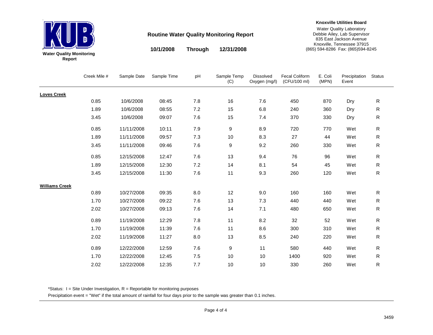

**10/1/2008 12/31/2008Through**

#### **Knoxville Utilities Board**

Water Quality Laboratory Debbie Ailey, Lab Supervisor 835 East Jackson Avenue Knoxville, Tennessee 37915 (865) 594-8286 Fax: (865)594-8245

Creek Mile # Sample Date Sample Time pH Sample Temp (C) Dissolved Oxygen (mg/l) Fecal Coliform (CFU/100 ml) E. Coli (MPN) Precipitation EventStatus **Loves Creek**0.85 10/6/2008 08:45 7.8 16 7.6 450 870 Dry R 1.89 10/6/2008 08:55 7.2 15 6.8 240 360 Dry R 3.45 10/6/2008 09:07 7.6 15 7.4 370 330 Dry R 0.85 11/11/2008 10:11 7.9 9 8.9 720 770 Wet R1.89 11/11/2008 09:57 7.3 10 8.3 27 44 Wet R $\mathsf{R}$ 3.45 11/11/2008 09:46 7.6 9 9.2 260 330 Wet R0.85 12/15/2008 12:47 7.6 13 9.4 76 96 Wet R1.89 12/15/2008 12:30 7.2 14 8.1 54 45 Wet R3.45 12/15/2008 11:30 7.6 11 9.3 260 120 Wet R**Williams Creek**0.89 10/27/2008 09:35 8.0 12 9.0 160 160 Wet R1.70 10/27/2008 09:22 7.6 13 7.3 440 440 Wet R2.02 10/27/2008 09:13 7.6 14 7.1 480 650 Wet R0.89 11/19/2008 12:29 7.8 11 8.2 32 52 Wet R1.70 11/19/2008 11:39 7.6 11 8.6 300 310 Wet R $\mathsf{R}$ 2.02 11/19/2008 11:27 8.0 13 8.5 240 220 Wet R0.89 12/22/2008 12:59 7.6 9 11 580 440 Wet R1.70 12/22/2008 12:45 7.5 10 10 1400 920 Wet R2.02 12/22/2008 12:357.7 10 10 330 260 Wet R

\*Status:  $I =$  Site Under Investigation,  $R =$  Reportable for monitoring purposes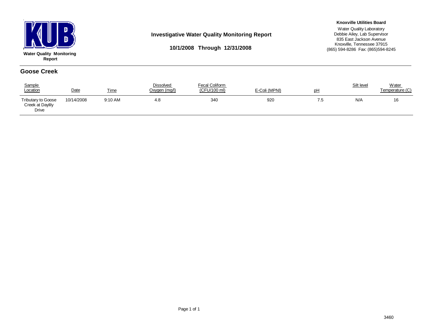

#### **Investigative Water Quality Monitoring Report**

#### **Knoxville Utilities Board**

**10/1/2008 Through 12/31/2008**

Water Quality Laboratory Debbie Ailey, Lab Supervisor 835 East Jackson Avenue Knoxville, Tennessee 37915 (865) 594-8286 Fax: (865)594-8245

#### **Goose Creek**

| Sample<br>Location                                     | Date       | <b>Time</b> | <b>Dissolved</b><br>Oxygen (mg/l) | Fecal Coliform<br>(CFU/100 ml) | E-Coli (MPNI) | pH  | Silt level | Water<br>Temperature (C) |
|--------------------------------------------------------|------------|-------------|-----------------------------------|--------------------------------|---------------|-----|------------|--------------------------|
| <b>Tributary to Goose</b><br>Creek at Daylily<br>Drive | 10/14/2008 | 9:10 AM     | 4.8                               | 340                            | 920           | 7.5 | N/A        | 16                       |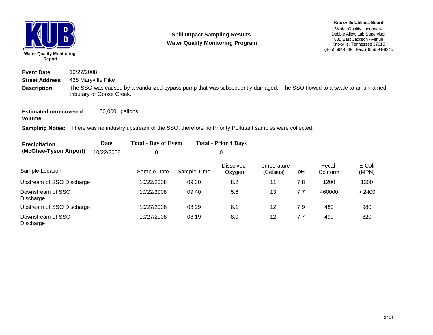| D<br>D<br><b>Water Quality Monitoring</b><br>Report |                                                                                                                                                    |                 |                                                                                                                    | <b>Spill Impact Sampling Results</b><br><b>Water Quality Monitoring Program</b> | <b>Knoxville Utilities Board</b><br>Water Quality Laboratory<br>Debbie Ailey, Lab Supervisor<br>835 East Jackson Avenue<br>Knoxville. Tennessee 37915<br>(865) 594-8286 Fax: (865) 594-8245 |                          |     |                   |                 |  |  |  |  |
|-----------------------------------------------------|----------------------------------------------------------------------------------------------------------------------------------------------------|-----------------|--------------------------------------------------------------------------------------------------------------------|---------------------------------------------------------------------------------|---------------------------------------------------------------------------------------------------------------------------------------------------------------------------------------------|--------------------------|-----|-------------------|-----------------|--|--|--|--|
| <b>Event Date</b>                                   | 10/22/2008                                                                                                                                         |                 |                                                                                                                    |                                                                                 |                                                                                                                                                                                             |                          |     |                   |                 |  |  |  |  |
| 438 Maryville Pike<br><b>Street Address</b>         |                                                                                                                                                    |                 |                                                                                                                    |                                                                                 |                                                                                                                                                                                             |                          |     |                   |                 |  |  |  |  |
| <b>Description</b>                                  | The SSO was caused by a vandalized bypass pump that was subsequently damaged. The SSO flowed to a swale to an unnamed<br>tributary of Goose Creek. |                 |                                                                                                                    |                                                                                 |                                                                                                                                                                                             |                          |     |                   |                 |  |  |  |  |
| <b>Estimated unrecovered</b><br>volume              |                                                                                                                                                    | 100,000 gallons |                                                                                                                    |                                                                                 |                                                                                                                                                                                             |                          |     |                   |                 |  |  |  |  |
|                                                     |                                                                                                                                                    |                 | Sampling Notes: There was no industry upstream of the SSO, therefore no Priority Pollutant samples were collected. |                                                                                 |                                                                                                                                                                                             |                          |     |                   |                 |  |  |  |  |
| Precipitation                                       |                                                                                                                                                    | Date            | <b>Total - Day of Event</b>                                                                                        |                                                                                 | <b>Total - Prior 4 Days</b>                                                                                                                                                                 |                          |     |                   |                 |  |  |  |  |
| (McGhee-Tyson Airport)                              |                                                                                                                                                    | 10/22/2008      | 0                                                                                                                  |                                                                                 | 0                                                                                                                                                                                           |                          |     |                   |                 |  |  |  |  |
| Sample Location                                     |                                                                                                                                                    |                 | Sample Date                                                                                                        | Sample Time                                                                     | <b>Dissolved</b><br>Oxygen                                                                                                                                                                  | Temperature<br>(Celsius) | pH  | Fecal<br>Coliform | E-Coli<br>(MPN) |  |  |  |  |
| Upstream of SSO Discharge                           |                                                                                                                                                    |                 | 10/22/2008                                                                                                         | 09:30                                                                           | 8.2                                                                                                                                                                                         | 11                       | 7.8 | 1200              | 1300            |  |  |  |  |
| Downstream of SSO<br>Discharge                      |                                                                                                                                                    | 13              | 7.7                                                                                                                | 460000                                                                          | > 2400                                                                                                                                                                                      |                          |     |                   |                 |  |  |  |  |
| Upstream of SSO Discharge                           |                                                                                                                                                    |                 | 10/27/2008                                                                                                         | 08:29                                                                           | 8.1                                                                                                                                                                                         | 12                       | 7.9 | 480               | 980             |  |  |  |  |
| Downstream of SSO<br>Discharge                      |                                                                                                                                                    |                 | 10/27/2008                                                                                                         | 08:19                                                                           | 8.0                                                                                                                                                                                         | 12                       | 7.7 | 490               | 820             |  |  |  |  |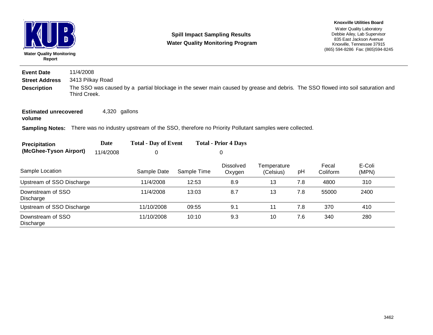| D<br><b>Water Quality Monitoring</b><br>Report |                                                                                                                                                 |               |                                                                                                                           | <b>Spill Impact Sampling Results</b><br><b>Water Quality Monitoring Program</b> | <b>Knoxville Utilities Board</b><br>Water Quality Laboratory<br>Debbie Ailey, Lab Supervisor<br>835 East Jackson Avenue<br>Knoxville, Tennessee 37915<br>(865) 594-8286 Fax: (865) 594-8245 |                          |     |                   |                 |  |  |  |
|------------------------------------------------|-------------------------------------------------------------------------------------------------------------------------------------------------|---------------|---------------------------------------------------------------------------------------------------------------------------|---------------------------------------------------------------------------------|---------------------------------------------------------------------------------------------------------------------------------------------------------------------------------------------|--------------------------|-----|-------------------|-----------------|--|--|--|
| <b>Event Date</b>                              | 11/4/2008                                                                                                                                       |               |                                                                                                                           |                                                                                 |                                                                                                                                                                                             |                          |     |                   |                 |  |  |  |
| <b>Street Address</b><br>3413 Pilkay Road      |                                                                                                                                                 |               |                                                                                                                           |                                                                                 |                                                                                                                                                                                             |                          |     |                   |                 |  |  |  |
| <b>Description</b>                             | The SSO was caused by a partial blockage in the sewer main caused by grease and debris. The SSO flowed into soil saturation and<br>Third Creek. |               |                                                                                                                           |                                                                                 |                                                                                                                                                                                             |                          |     |                   |                 |  |  |  |
| <b>Estimated unrecovered</b><br>volume         |                                                                                                                                                 | 4,320 gallons |                                                                                                                           |                                                                                 |                                                                                                                                                                                             |                          |     |                   |                 |  |  |  |
|                                                |                                                                                                                                                 |               | <b>Sampling Notes:</b> There was no industry upstream of the SSO, therefore no Priority Pollutant samples were collected. |                                                                                 |                                                                                                                                                                                             |                          |     |                   |                 |  |  |  |
| Precipitation                                  |                                                                                                                                                 | Date          | <b>Total - Day of Event</b>                                                                                               |                                                                                 | <b>Total - Prior 4 Days</b>                                                                                                                                                                 |                          |     |                   |                 |  |  |  |
| (McGhee-Tyson Airport)                         |                                                                                                                                                 | 11/4/2008     | 0                                                                                                                         | 0                                                                               |                                                                                                                                                                                             |                          |     |                   |                 |  |  |  |
| Sample Location                                |                                                                                                                                                 |               | Sample Date                                                                                                               | Sample Time                                                                     | <b>Dissolved</b><br>Oxygen                                                                                                                                                                  | Temperature<br>(Celsius) | pH  | Fecal<br>Coliform | E-Coli<br>(MPN) |  |  |  |
| Upstream of SSO Discharge                      |                                                                                                                                                 |               | 11/4/2008                                                                                                                 | 12:53                                                                           | 8.9                                                                                                                                                                                         | 13                       | 7.8 | 4800              | 310             |  |  |  |
| Downstream of SSO<br>Discharge                 |                                                                                                                                                 |               | 11/4/2008                                                                                                                 | 13:03                                                                           | 8.7                                                                                                                                                                                         | 13                       | 7.8 | 55000             | 2400            |  |  |  |
| Upstream of SSO Discharge                      |                                                                                                                                                 |               | 11/10/2008                                                                                                                | 09:55                                                                           | 9.1                                                                                                                                                                                         | 11                       | 7.8 | 370               | 410             |  |  |  |
| Downstream of SSO<br>Discharge                 |                                                                                                                                                 |               | 11/10/2008                                                                                                                | 10:10                                                                           | 9.3                                                                                                                                                                                         | 10                       | 7.6 | 340               | 280             |  |  |  |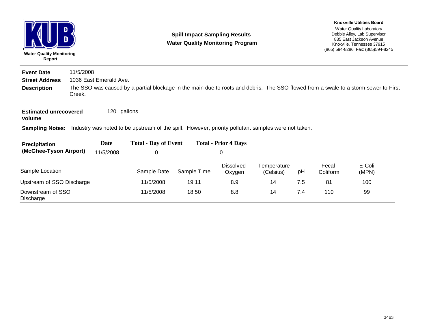| D<br>D<br><b>Water Quality Monitoring</b><br>Report |           |                        |                                                                                                     | <b>Spill Impact Sampling Results</b><br><b>Water Quality Monitoring Program</b> |                             | <b>Knoxville Utilities Board</b><br>Water Quality Laboratory<br>Debbie Ailey, Lab Supervisor<br>835 East Jackson Avenue<br>Knoxville, Tennessee 37915<br>(865) 594-8286 Fax: (865) 594-8245 |     |                   |                                                                                                                                     |
|-----------------------------------------------------|-----------|------------------------|-----------------------------------------------------------------------------------------------------|---------------------------------------------------------------------------------|-----------------------------|---------------------------------------------------------------------------------------------------------------------------------------------------------------------------------------------|-----|-------------------|-------------------------------------------------------------------------------------------------------------------------------------|
| <b>Event Date</b>                                   | 11/5/2008 |                        |                                                                                                     |                                                                                 |                             |                                                                                                                                                                                             |     |                   |                                                                                                                                     |
| <b>Street Address</b>                               |           | 1036 East Emerald Ave. |                                                                                                     |                                                                                 |                             |                                                                                                                                                                                             |     |                   |                                                                                                                                     |
| <b>Description</b>                                  | Creek.    |                        |                                                                                                     |                                                                                 |                             |                                                                                                                                                                                             |     |                   | The SSO was caused by a partial blockage in the main due to roots and debris. The SSO flowed from a swale to a storm sewer to First |
| <b>Estimated unrecovered</b><br>volume              |           | 120 gallons            |                                                                                                     |                                                                                 |                             |                                                                                                                                                                                             |     |                   |                                                                                                                                     |
| <b>Sampling Notes:</b>                              |           |                        | Industry was noted to be upstream of the spill. However, priority pollutant samples were not taken. |                                                                                 |                             |                                                                                                                                                                                             |     |                   |                                                                                                                                     |
| Precipitation                                       |           | Date                   | <b>Total - Day of Event</b>                                                                         |                                                                                 | <b>Total - Prior 4 Days</b> |                                                                                                                                                                                             |     |                   |                                                                                                                                     |
| (McGhee-Tyson Airport)                              |           | 11/5/2008              | 0                                                                                                   |                                                                                 | 0                           |                                                                                                                                                                                             |     |                   |                                                                                                                                     |
| Sample Location                                     |           |                        | Sample Date                                                                                         | Sample Time                                                                     | <b>Dissolved</b><br>Oxygen  | Temperature<br>(Celsius)                                                                                                                                                                    | pH  | Fecal<br>Coliform | E-Coli<br>(MPN)                                                                                                                     |
| Upstream of SSO Discharge                           |           |                        | 11/5/2008                                                                                           | 19:11                                                                           | 8.9                         | 14                                                                                                                                                                                          | 7.5 | 81                | 100                                                                                                                                 |
| Downstream of SSO<br>Discharge                      |           |                        | 11/5/2008                                                                                           | 18:50                                                                           | 8.8                         | 14                                                                                                                                                                                          | 7.4 | 110               | 99                                                                                                                                  |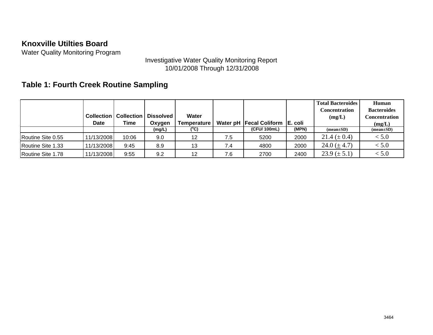Water Quality Monitoring Program

## Investigative Water Quality Monitoring Report 10/01/2008 Through 12/31/2008

## **Table 1: Fourth Creek Routine Sampling**

|                          |                   |                   |                  |             |     |                           |          | <b>Total Bacteroides</b> | Human              |
|--------------------------|-------------------|-------------------|------------------|-------------|-----|---------------------------|----------|--------------------------|--------------------|
|                          |                   |                   |                  |             |     |                           |          | Concentration            | <b>Bacteroides</b> |
|                          | <b>Collection</b> | <b>Collection</b> | <b>Dissolved</b> | Water       |     |                           |          | (mg/L)                   | Concentration      |
|                          | <b>Date</b>       | Time              | Oxygen           | Temperature |     | Water pH   Fecal Coliform | IE. coli |                          | (mg/L)             |
|                          |                   |                   | (mg/L)           | (°C)        |     | (CFU/100mL)               | (MPN)    | $(mean \pm SD)$          | $mean \pm SD$      |
| <b>Routine Site 0.55</b> | 11/13/2008        | 10:06             | 9.0              | 12          | 7.5 | 5200                      | 2000     | 21.4 $(\pm 0.4)$         | < 5.0              |
| Routine Site 1.33        | 11/13/2008        | 9:45              | 8.9              | 13          | 7.4 | 4800                      | 2000     | 24.0 $(\pm 4.7)$         | < 5.0              |
| Routine Site 1.78        | 11/13/2008        | 9:55              | 9.2              | 12          | 7.6 | 2700                      | 2400     | $23.9 \ (\pm 5.1)$       | < 5.0              |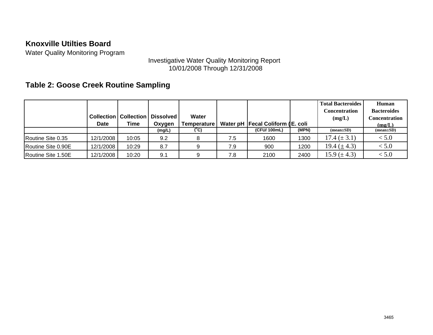Water Quality Monitoring Program

### Investigative Water Quality Monitoring Report 10/01/2008 Through 12/31/2008

## **Table 2: Goose Creek Routine Sampling**

|                    |             |                                |                  |             |     |                                    |       | <b>Total Bacteroides</b> | Human              |
|--------------------|-------------|--------------------------------|------------------|-------------|-----|------------------------------------|-------|--------------------------|--------------------|
|                    |             |                                |                  |             |     |                                    |       | Concentration            | <b>Bacteroides</b> |
|                    |             | <b>Collection   Collection</b> | <b>Dissolved</b> | Water       |     |                                    |       | (mg/L)                   | Concentration      |
|                    | <b>Date</b> | Time                           | Oxygen           | Temperature |     | Water pH   Fecal Coliform (E. coli |       |                          | (mg/L)             |
|                    |             |                                | (mg/L)           | (°C)        |     | (CFU/100mL)                        | (MPN) | $mean \pm SD$            | $(mean \pm SD)$    |
| Routine Site 0.35  | 12/1/2008   | 10:05                          | 9.2              |             | 7.5 | 1600                               | 1300  | $17.4 (\pm 3.1)$         | < 5.0              |
| Routine Site 0.90E | 12/1/2008   | 10:29                          | 8.7              |             | 7.9 | 900                                | 1200  | 19.4 $(\pm 4.3)$         | < 5.0              |
| Routine Site 1.50E | 12/1/2008   | 10:20                          | 9.1              |             | 7.8 | 2100                               | 2400  | 15.9 $(\pm 4.3)$         | < 5.0              |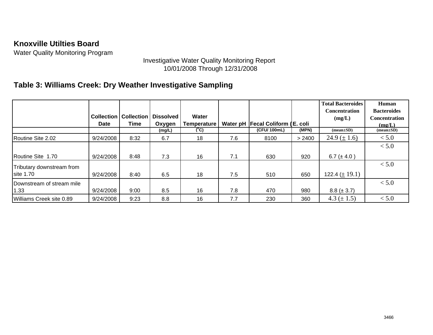Water Quality Monitoring Program

### Investigative Water Quality Monitoring Report 10/01/2008 Through 12/31/2008

## **Table 3: Williams Creek: Dry Weather Investigative Sampling**

|                           | <b>Collection</b><br><b>Date</b> | <b>Collection</b><br>Time | <b>Dissolved</b><br>Oxygen | Water<br><b>Temperature</b> |     | Water pH   Fecal Coliform (E. coli |        | <b>Total Bacteroides</b><br><b>Concentration</b><br>(mg/L) | Human<br><b>Bacteroides</b><br><b>Concentration</b><br>(mg/L) |
|---------------------------|----------------------------------|---------------------------|----------------------------|-----------------------------|-----|------------------------------------|--------|------------------------------------------------------------|---------------------------------------------------------------|
|                           |                                  |                           | (mg/L)                     | (°C)                        |     | (CFU/100mL)                        | (MPN)  | $mean \pm SD$                                              | $(mean \pm SD)$                                               |
| Routine Site 2.02         | 9/24/2008                        | 8:32                      | 6.7                        | 18                          | 7.6 | 8100                               | > 2400 | 24.9 ( $\pm$ 1.6)                                          | < 5.0                                                         |
|                           |                                  |                           |                            |                             |     |                                    |        |                                                            | < 5.0                                                         |
| Routine Site 1.70         | 9/24/2008                        | 8:48                      | 7.3                        | 16                          | 7.1 | 630                                | 920    | 6.7 ( $\pm$ 4.0)                                           |                                                               |
| Tributary downstream from |                                  |                           |                            |                             |     |                                    |        |                                                            | < 5.0                                                         |
| site 1.70                 | 9/24/2008                        | 8:40                      | 6.5                        | 18                          | 7.5 | 510                                | 650    | 122.4 ( $\pm$ 19.1)                                        |                                                               |
| Downstream of stream mile |                                  |                           |                            |                             |     |                                    |        |                                                            | < 5.0                                                         |
| 1.33                      | 9/24/2008                        | 9:00                      | 8.5                        | 16                          | 7.8 | 470                                | 980    | $8.8 (\pm 3.7)$                                            |                                                               |
| Williams Creek site 0.89  | 9/24/2008                        | 9:23                      | 8.8                        | 16                          | 7.7 | 230                                | 360    | 4.3 $(\pm 1.5)$                                            | < 5.0                                                         |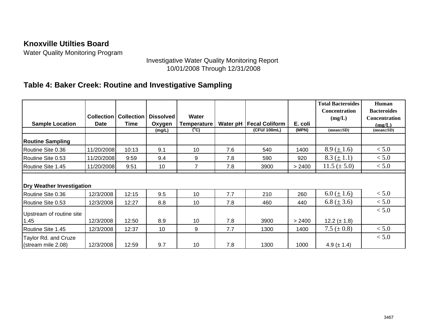Water Quality Monitoring Program

### Investigative Water Quality Monitoring Report 10/01/2008 Through 12/31/2008

## **Table 4: Baker Creek: Routine and Investigative Sampling**

|                                            | <b>Collection</b> | <b>Collection</b> | <b>Dissolved</b> | <b>Water</b>       |          |                       |         | <b>Total Bacteroides</b><br><b>Concentration</b><br>(mg/L) | Human<br><b>Bacteroides</b><br><b>Concentration</b> |
|--------------------------------------------|-------------------|-------------------|------------------|--------------------|----------|-----------------------|---------|------------------------------------------------------------|-----------------------------------------------------|
| <b>Sample Location</b>                     | <b>Date</b>       | Time              | Oxygen           | <b>Temperature</b> | Water pH | <b>Fecal Coliform</b> | E. coli |                                                            | (mg/L)                                              |
|                                            |                   |                   | (mg/L)           | $(^{\circ}C)$      |          | (CFU/ 100mL)          | (MPN)   | $(mean \pm SD)$                                            | $(mean \pm SD)$                                     |
| <b>Routine Sampling</b>                    |                   |                   |                  |                    |          |                       |         |                                                            |                                                     |
| Routine Site 0.36                          | 11/20/2008        | 10:13             | 9.1              | 10                 | 7.6      | 540                   | 1400    | 8.9 ( $\pm$ 1.6)                                           | < 5.0                                               |
| Routine Site 0.53                          | 11/20/2008        | 9:59              | 9.4              | 9                  | 7.8      | 590                   | 920     | $8.3 (\pm 1.1)$                                            | < 5.0                                               |
| Routine Site 1.45                          | 11/20/2008        | 9:51              | 10               | 7                  | 7.8      | 3900                  | > 2400  | $11.5 (\pm 5.0)$                                           | < 5.0                                               |
| <b>Dry Weather Investigation</b>           |                   |                   |                  |                    |          |                       |         |                                                            |                                                     |
| Routine Site 0.36                          | 12/3/2008         | 12:15             | 9.5              | 10                 | 7.7      | 210                   | 260     | $6.0 \left( \pm 1.6 \right)$                               | < 5.0                                               |
| Routine Site 0.53                          | 12/3/2008         | 12:27             | 8.8              | 10                 | 7.8      | 460                   | 440     | 6.8 ( $\pm$ 3.6)                                           | < 5.0                                               |
| Upstream of routine site<br>1.45           | 12/3/2008         | 12:50             | 8.9              | 10                 | 7.8      | 3900                  | > 2400  | 12.2 ( $\pm$ 1.8)                                          | < 5.0                                               |
| Routine Site 1.45                          | 12/3/2008         | 12:37             | 10               | 9                  | 7.7      | 1300                  | 1400    | 7.5 ( $\pm$ 0.8)                                           | < 5.0                                               |
| Taylor Rd. and Cruze<br>(stream mile 2.08) | 12/3/2008         | 12:59             | 9.7              | 10                 | 7.8      | 1300                  | 1000    | 4.9 ( $\pm$ 1.4)                                           | < 5.0                                               |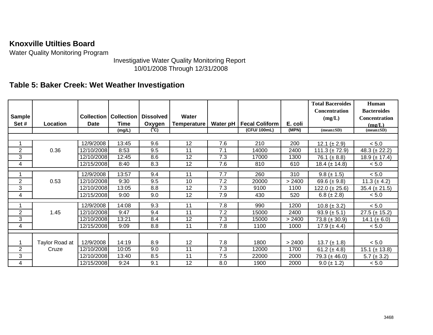Water Quality Monitoring Program

Investigative Water Quality Monitoring Report 10/01/2008 Through 12/31/2008

## **Table 5: Baker Creek: Wet Weather Investigation**

|                |                |            |                                  |                  |             |          |                       |         | <b>Total Baceroides</b> | Human              |
|----------------|----------------|------------|----------------------------------|------------------|-------------|----------|-----------------------|---------|-------------------------|--------------------|
|                |                |            |                                  |                  |             |          |                       |         | <b>Concentration</b>    | <b>Bacteroides</b> |
| Sample         |                |            | <b>Collection   Collection  </b> | <b>Dissolved</b> | Water       |          |                       |         | (mg/L)                  | Concentration      |
| Set#           | Location       | Date       | <b>Time</b>                      | Oxygen           | Temperature | Water pH | <b>Fecal Coliform</b> | E. coli |                         | (mg/L)             |
|                |                |            | (mg/L)                           | (°C)             |             |          | (CFU/100mL)           | (MPN)   | $(mean \pm SD)$         | $(mean \pm SD)$    |
|                |                |            |                                  |                  |             |          |                       |         |                         |                    |
|                |                | 12/9/2008  | 13:45                            | 9.6              | 12          | 7.6      | 210                   | 200     | 12.1 ( $\pm$ 2.9)       | < 5.0              |
| $\overline{2}$ | 0.36           | 12/10/2008 | 8:53                             | 9.5              | 11          | 7.1      | 14000                 | 2400    | 111.3 ( $\pm$ 72.9)     | 48.3 ( $\pm$ 22.2) |
| 3              |                | 12/10/2008 | 12:45                            | 8.6              | 12          | 7.3      | 17000                 | 1300    | 76.1 ( $\pm$ 8.8)       | 18.9 ( $\pm$ 17.4) |
| $\overline{4}$ |                | 12/15/2008 | 8:40                             | 8.3              | 12          | 7.6      | 810                   | 610     | 18.4 ( $\pm$ 14.8)      | < 5.0              |
|                |                | 12/9/2008  | 13:57                            | 9.4              | 11          | 7.7      | 260                   | 310     | $9.8 (\pm 1.5)$         | < 5.0              |
| $\overline{2}$ |                |            |                                  |                  | 10          | 7.2      |                       |         |                         |                    |
|                | 0.53           | 12/10/2008 | 9:30                             | 9.5              |             |          | 20000                 | > 2400  | 69.6 ( $\pm$ 9.8)       | 11.3 ( $\pm$ 4.2)  |
| 3              |                | 12/10/2008 | 13:05                            | 8.8              | 12          | 7.3      | 9100                  | 1100    | 122.0 ( $\pm$ 25.6)     | $35.4 (\pm 21.5)$  |
| 4              |                | 12/15/2008 | 9:00                             | 9.0              | 12          | 7.9      | 430                   | 520     | 6.8 ( $\pm$ 2.8)        | < 5.0              |
|                |                | 12/9/2008  | 14:08                            | 9.3              | 11          | 7.8      | 990                   | 1200    | $10.8 (\pm 3.2)$        | < 5.0              |
| $\overline{2}$ | 1.45           | 12/10/2008 | 9:47                             | 9.4              | 11          | 7.2      | 15000                 | 2400    | $93.9 (\pm 5.1)$        | $27.5 (\pm 15.2)$  |
| 3              |                | 12/10/2008 | 13:21                            | 8.4              | 12          | 7.3      | 15000                 | > 2400  | $73.8 (\pm 30.9)$       | 14.1 ( $\pm$ 6.0)  |
| 4              |                | 12/15/2008 | 9:09                             | 8.8              | 11          | 7.8      | 1100                  | 1000    | 17.9 ( $\pm$ 4.4)       | < 5.0              |
|                |                |            |                                  |                  |             |          |                       |         |                         |                    |
|                |                | 12/9/2008  |                                  |                  | 12          |          | 1800                  |         |                         |                    |
|                | Taylor Road at |            | 14:19                            | 8.9              |             | 7.8      |                       | > 2400  | 13.7 $(\pm 1.8)$        | $< 5.0$            |
| $\overline{2}$ | Cruze          | 12/10/2008 | 10:05                            | 9.0              | 11          | 7.3      | 12000                 | 1700    | 61.2 ( $\pm$ 4.8)       | $15.1 (\pm 13.8)$  |
| 3              |                | 12/10/2008 | 13:40                            | 8.5              | 11          | 7.5      | 22000                 | 2000    | 79.3 ( $\pm$ 46.0)      | $5.7 (\pm 3.2)$    |
| 4              |                | 12/15/2008 | 9:24                             | 9.1              | 12          | 8.0      | 1900                  | 2000    | $9.0 (\pm 1.2)$         | $< 5.0$            |